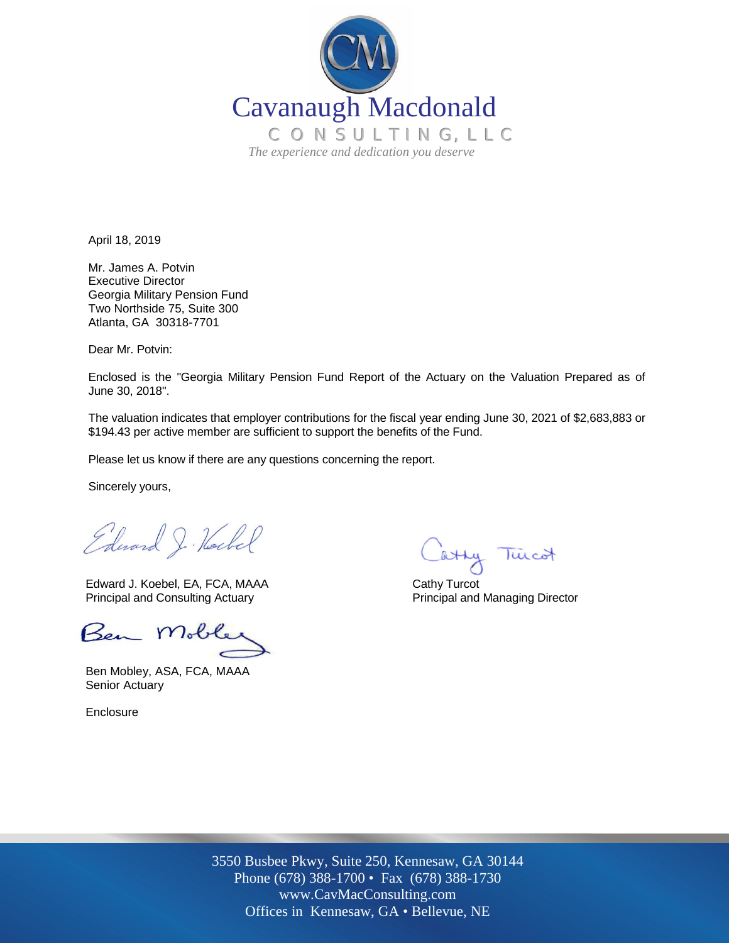

April 18, 2019

Mr. James A. Potvin Executive Director Georgia Military Pension Fund Two Northside 75, Suite 300 Atlanta, GA 30318-7701

Dear Mr. Potvin:

Enclosed is the "Georgia Military Pension Fund Report of the Actuary on the Valuation Prepared as of June 30, 2018".

The valuation indicates that employer contributions for the fiscal year ending June 30, 2021 of \$2,683,883 or \$194.43 per active member are sufficient to support the benefits of the Fund.

Please let us know if there are any questions concerning the report.

Sincerely yours,

Edward J. Hockel

Edward J. Koebel, EA, FCA, MAAA Cathy Turcot Principal and Consulting Actuary **Principal and Managing Director** Principal and Managing Director

Ben Mob

Ben Mobley, ASA, FCA, MAAA Senior Actuary

Enclosure

atty Tuicot

Off Offices in Kennesaw, GA • Bellevue, NE 3550 Busbee Pkwy, Suite 250, Kennesaw, GA 30144 Phone (678) 388-1700 • Fax (678) 388-1730 www.CavMacConsulting.com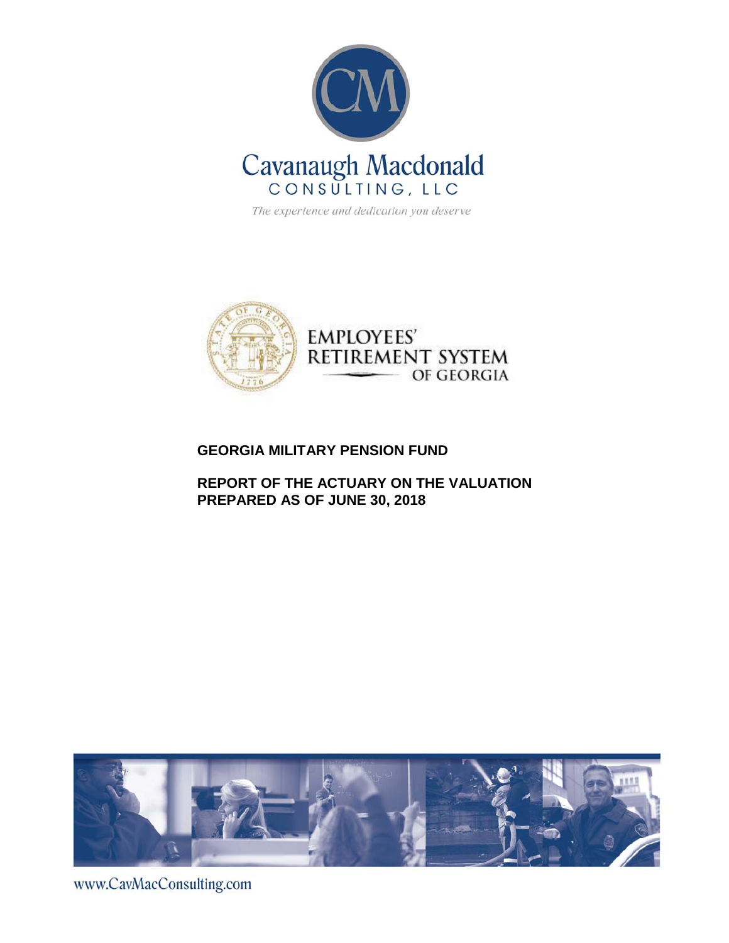

The experience and dedication you deserve



### **GEORGIA MILITARY PENSION FUND**

**REPORT OF THE ACTUARY ON THE VALUATION PREPARED AS OF JUNE 30, 2018**



www.CavMacConsulting.com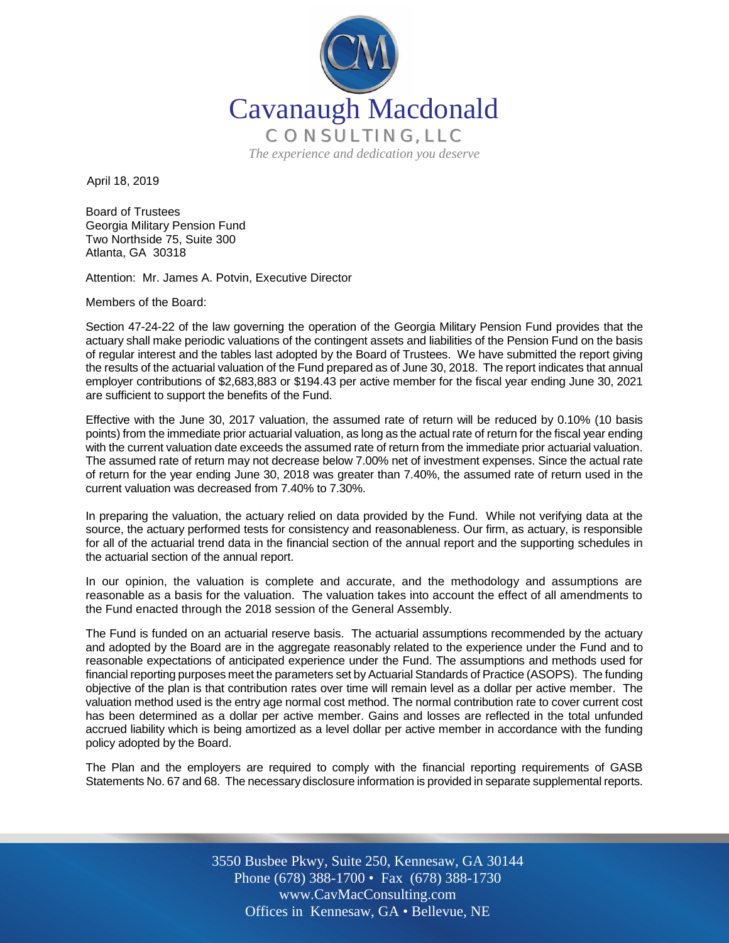

April 18, 2019

Board of Trustees Georgia Military Pension Fund Two Northside 75, Suite 300 Atlanta, GA 30318

Attention: Mr. James A. Potvin, Executive Director

Members of the Board:

Section 47-24-22 of the law governing the operation of the Georgia Military Pension Fund provides that the actuary shall make periodic valuations of the contingent assets and liabilities of the Pension Fund on the basis of regular interest and the tables last adopted by the Board of Trustees. We have submitted the report giving the results of the actuarial valuation of the Fund prepared as of June 30, 2018. The report indicates that annual employer contributions of \$2,683,883 or \$194.43 per active member for the fiscal year ending June 30, 2021 are sufficient to support the benefits of the Fund.

Effective with the June 30, 2017 valuation, the assumed rate of return will be reduced by 0.10% (10 basis points) from the immediate prior actuarial valuation, as long as the actual rate of return for the fiscal year ending with the current valuation date exceeds the assumed rate of return from the immediate prior actuarial valuation. The assumed rate of return may not decrease below 7.00% net of investment expenses. Since the actual rate of return for the year ending June 30, 2018 was greater than 7.40%, the assumed rate of return used in the current valuation was decreased from 7.40% to 7.30%.

In preparing the valuation, the actuary relied on data provided by the Fund. While not verifying data at the source, the actuary performed tests for consistency and reasonableness. Our firm, as actuary, is responsible for all of the actuarial trend data in the financial section of the annual report and the supporting schedules in the actuarial section of the annual report.

In our opinion, the valuation is complete and accurate, and the methodology and assumptions are reasonable as a basis for the valuation. The valuation takes into account the effect of all amendments to the Fund enacted through the 2018 session of the General Assembly.

The Fund is funded on an actuarial reserve basis. The actuarial assumptions recommended by the actuary and adopted by the Board are in the aggregate reasonably related to the experience under the Fund and to reasonable expectations of anticipated experience under the Fund. The assumptions and methods used for financial reporting purposes meet the parameters set by Actuarial Standards of Practice (ASOPS). The funding objective of the plan is that contribution rates over time will remain level as a dollar per active member. The valuation method used is the entry age normal cost method. The normal contribution rate to cover current cost has been determined as a dollar per active member. Gains and losses are reflected in the total unfunded accrued liability which is being amortized as a level dollar per active member in accordance with the funding policy adopted by the Board.

The Plan and the employers are required to comply with the financial reporting requirements of GASB Statements No. 67 and 68. The necessary disclosure information is provided in separate supplemental reports.

> Off Offices in Kennesaw, GA • Bellevue, NE 3550 Busbee Pkwy, Suite 250, Kennesaw, GA 30144 Phone (678) 388-1700 • Fax (678) 388-1730 www.CavMacConsulting.com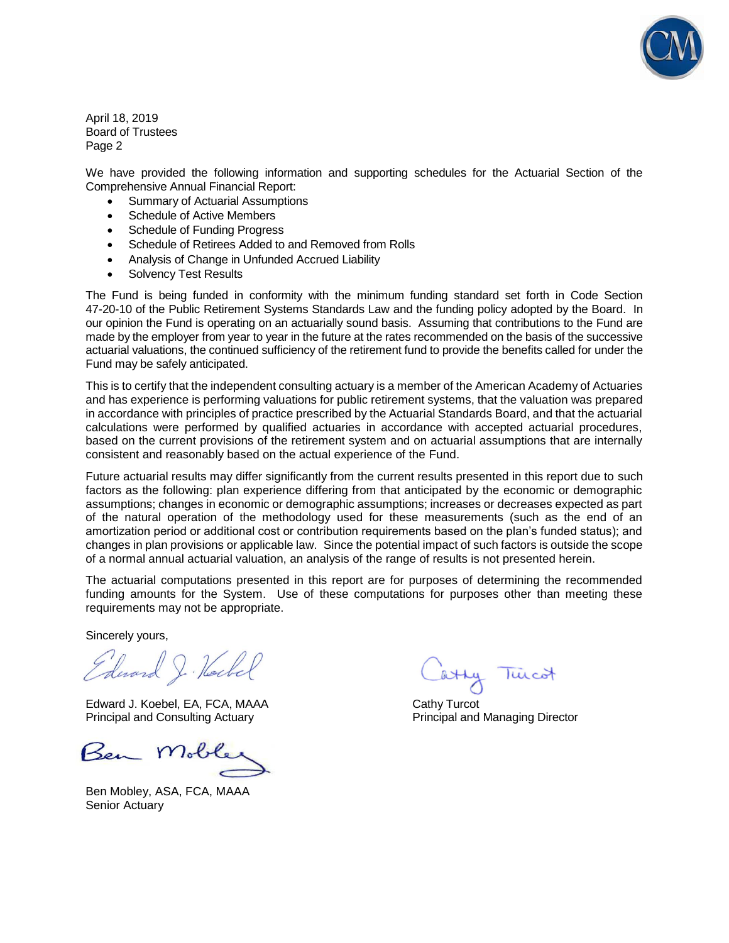

April 18, 2019 Board of Trustees Page 2

We have provided the following information and supporting schedules for the Actuarial Section of the Comprehensive Annual Financial Report:

- Summary of Actuarial Assumptions
- Schedule of Active Members
- Schedule of Funding Progress
- Schedule of Retirees Added to and Removed from Rolls
- Analysis of Change in Unfunded Accrued Liability
- Solvency Test Results

The Fund is being funded in conformity with the minimum funding standard set forth in Code Section 47-20-10 of the Public Retirement Systems Standards Law and the funding policy adopted by the Board. In our opinion the Fund is operating on an actuarially sound basis. Assuming that contributions to the Fund are made by the employer from year to year in the future at the rates recommended on the basis of the successive actuarial valuations, the continued sufficiency of the retirement fund to provide the benefits called for under the Fund may be safely anticipated.

This is to certify that the independent consulting actuary is a member of the American Academy of Actuaries and has experience is performing valuations for public retirement systems, that the valuation was prepared in accordance with principles of practice prescribed by the Actuarial Standards Board, and that the actuarial calculations were performed by qualified actuaries in accordance with accepted actuarial procedures, based on the current provisions of the retirement system and on actuarial assumptions that are internally consistent and reasonably based on the actual experience of the Fund.

Future actuarial results may differ significantly from the current results presented in this report due to such factors as the following: plan experience differing from that anticipated by the economic or demographic assumptions; changes in economic or demographic assumptions; increases or decreases expected as part of the natural operation of the methodology used for these measurements (such as the end of an amortization period or additional cost or contribution requirements based on the plan's funded status); and changes in plan provisions or applicable law. Since the potential impact of such factors is outside the scope of a normal annual actuarial valuation, an analysis of the range of results is not presented herein.

The actuarial computations presented in this report are for purposes of determining the recommended funding amounts for the System. Use of these computations for purposes other than meeting these requirements may not be appropriate.

Sincerely yours,

Edward J. Hockel

Edward J. Koebel, EA, FCA, MAAA Cathy Turcot Principal and Consulting Actuary **Principal and Managing Director** Principal and Managing Director

Ben Mob

Ben Mobley, ASA, FCA, MAAA Senior Actuary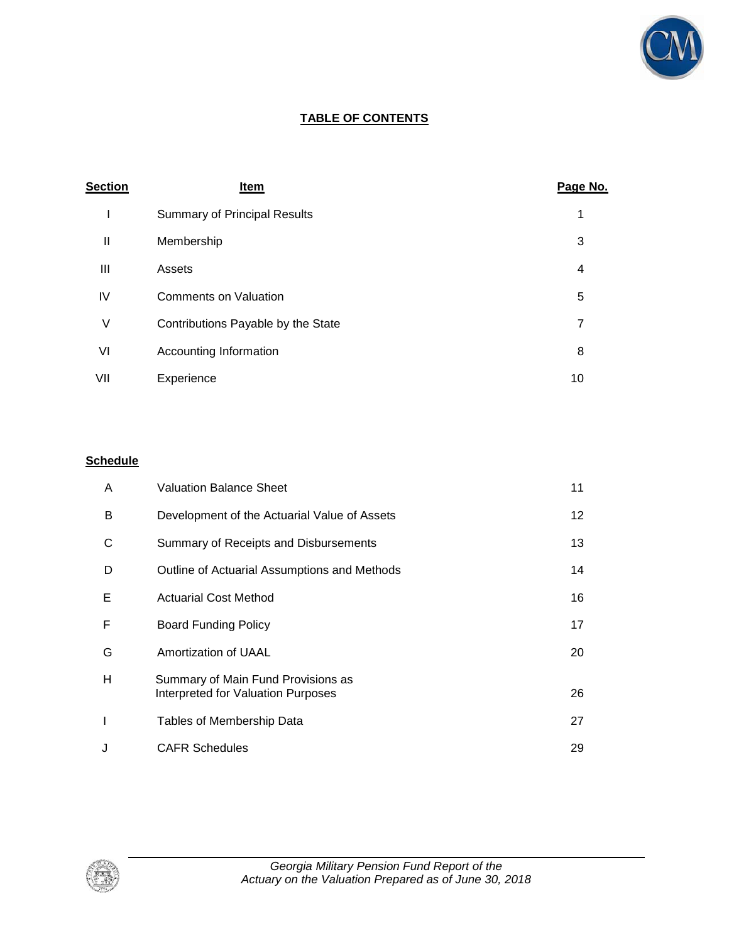

### **TABLE OF CONTENTS**

| <b>Section</b> | Item                                | Page No. |
|----------------|-------------------------------------|----------|
| I              | <b>Summary of Principal Results</b> | 1        |
| Ш              | Membership                          | 3        |
| Ш              | Assets                              | 4        |
| IV             | <b>Comments on Valuation</b>        | 5        |
| ٧              | Contributions Payable by the State  | 7        |
| VI             | Accounting Information              | 8        |
| VII            | Experience                          | 10       |

### **Schedule**

| A            | <b>Valuation Balance Sheet</b>                                           | 11 |
|--------------|--------------------------------------------------------------------------|----|
| B            | Development of the Actuarial Value of Assets                             | 12 |
| C            | Summary of Receipts and Disbursements                                    | 13 |
| D            | Outline of Actuarial Assumptions and Methods                             | 14 |
| Е            | <b>Actuarial Cost Method</b>                                             | 16 |
| F            | Board Funding Policy                                                     | 17 |
| G            | Amortization of UAAL                                                     | 20 |
| н            | Summary of Main Fund Provisions as<br>Interpreted for Valuation Purposes | 26 |
| $\mathbf{I}$ | Tables of Membership Data                                                | 27 |
| J            | <b>CAFR Schedules</b>                                                    | 29 |

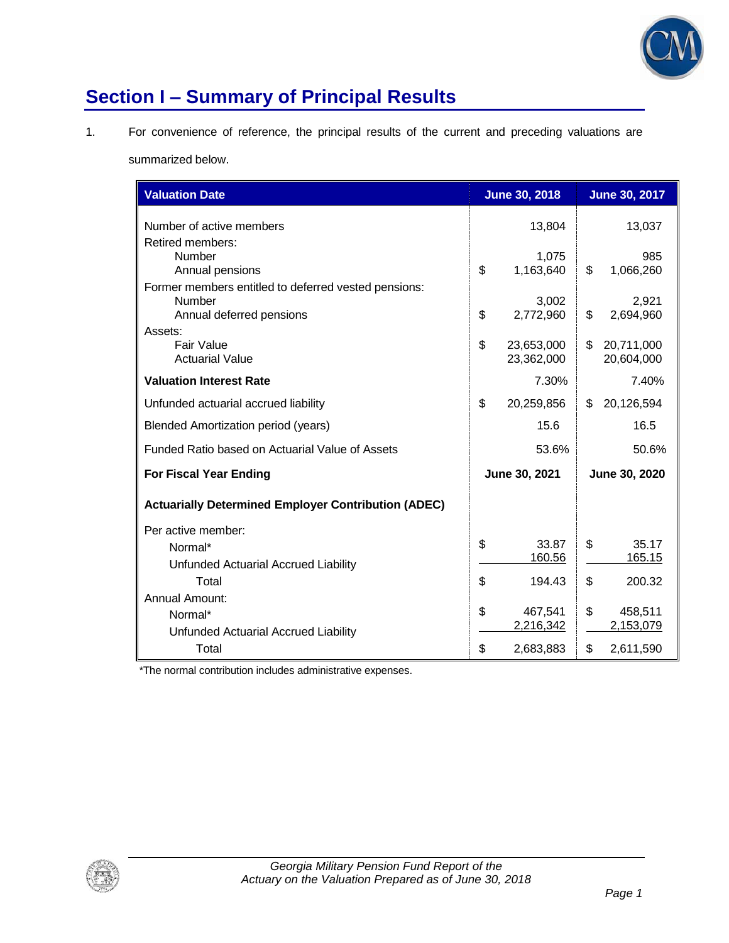

# **Section I – Summary of Principal Results**

1. For convenience of reference, the principal results of the current and preceding valuations are

summarized below.

| <b>Valuation Date</b>                                                                      |               | <b>June 30, 2018</b>     |               | <b>June 30, 2017</b>     |
|--------------------------------------------------------------------------------------------|---------------|--------------------------|---------------|--------------------------|
| Number of active members<br>Retired members:                                               |               | 13,804                   |               | 13,037                   |
| <b>Number</b><br>Annual pensions                                                           | \$            | 1,075<br>1,163,640       | \$            | 985<br>1,066,260         |
| Former members entitled to deferred vested pensions:<br>Number<br>Annual deferred pensions | \$            | 3,002<br>2,772,960       | \$            | 2,921<br>2,694,960       |
| Assets:<br>Fair Value<br><b>Actuarial Value</b>                                            | \$            | 23,653,000<br>23,362,000 | \$            | 20,711,000<br>20,604,000 |
| <b>Valuation Interest Rate</b>                                                             |               | 7.30%                    |               | 7.40%                    |
| Unfunded actuarial accrued liability                                                       | \$            | 20,259,856               | \$            | 20,126,594               |
| <b>Blended Amortization period (years)</b>                                                 |               | 15.6                     |               | 16.5                     |
| Funded Ratio based on Actuarial Value of Assets                                            |               | 53.6%                    |               | 50.6%                    |
| <b>For Fiscal Year Ending</b>                                                              | June 30, 2021 |                          | June 30, 2020 |                          |
| <b>Actuarially Determined Employer Contribution (ADEC)</b>                                 |               |                          |               |                          |
| Per active member:                                                                         |               |                          |               |                          |
| Normal*                                                                                    | \$            | 33.87<br>160.56          | \$            | 35.17<br>165.15          |
| Unfunded Actuarial Accrued Liability<br>Total                                              | \$            | 194.43                   | \$            | 200.32                   |
| Annual Amount:                                                                             |               |                          |               |                          |
| Normal*                                                                                    | \$            | 467,541                  | \$            | 458,511                  |
| Unfunded Actuarial Accrued Liability                                                       |               | 2,216,342                |               | 2,153,079                |
| Total                                                                                      | \$            | 2,683,883                | \$            | 2,611,590                |

\*The normal contribution includes administrative expenses.

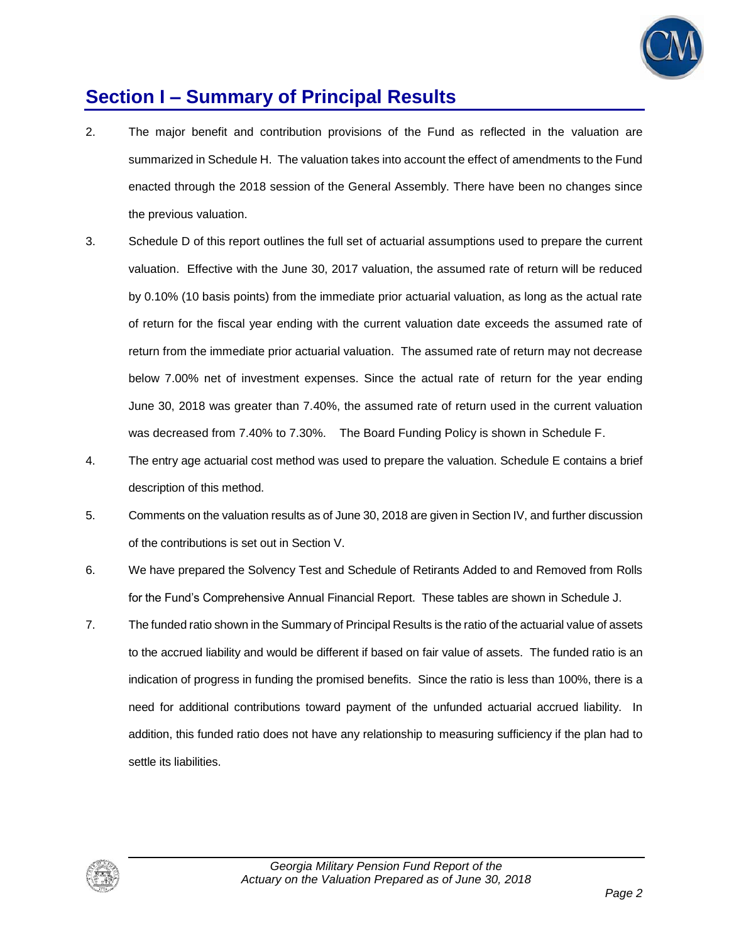

### **Section I – Summary of Principal Results**

- 2. The major benefit and contribution provisions of the Fund as reflected in the valuation are summarized in Schedule H. The valuation takes into account the effect of amendments to the Fund enacted through the 2018 session of the General Assembly. There have been no changes since the previous valuation.
- 3. Schedule D of this report outlines the full set of actuarial assumptions used to prepare the current valuation. Effective with the June 30, 2017 valuation, the assumed rate of return will be reduced by 0.10% (10 basis points) from the immediate prior actuarial valuation, as long as the actual rate of return for the fiscal year ending with the current valuation date exceeds the assumed rate of return from the immediate prior actuarial valuation. The assumed rate of return may not decrease below 7.00% net of investment expenses. Since the actual rate of return for the year ending June 30, 2018 was greater than 7.40%, the assumed rate of return used in the current valuation was decreased from 7.40% to 7.30%. The Board Funding Policy is shown in Schedule F.
- 4. The entry age actuarial cost method was used to prepare the valuation. Schedule E contains a brief description of this method.
- 5. Comments on the valuation results as of June 30, 2018 are given in Section IV, and further discussion of the contributions is set out in Section V.
- 6. We have prepared the Solvency Test and Schedule of Retirants Added to and Removed from Rolls for the Fund's Comprehensive Annual Financial Report. These tables are shown in Schedule J.
- 7. The funded ratio shown in the Summary of Principal Results is the ratio of the actuarial value of assets to the accrued liability and would be different if based on fair value of assets. The funded ratio is an indication of progress in funding the promised benefits. Since the ratio is less than 100%, there is a need for additional contributions toward payment of the unfunded actuarial accrued liability. In addition, this funded ratio does not have any relationship to measuring sufficiency if the plan had to settle its liabilities.

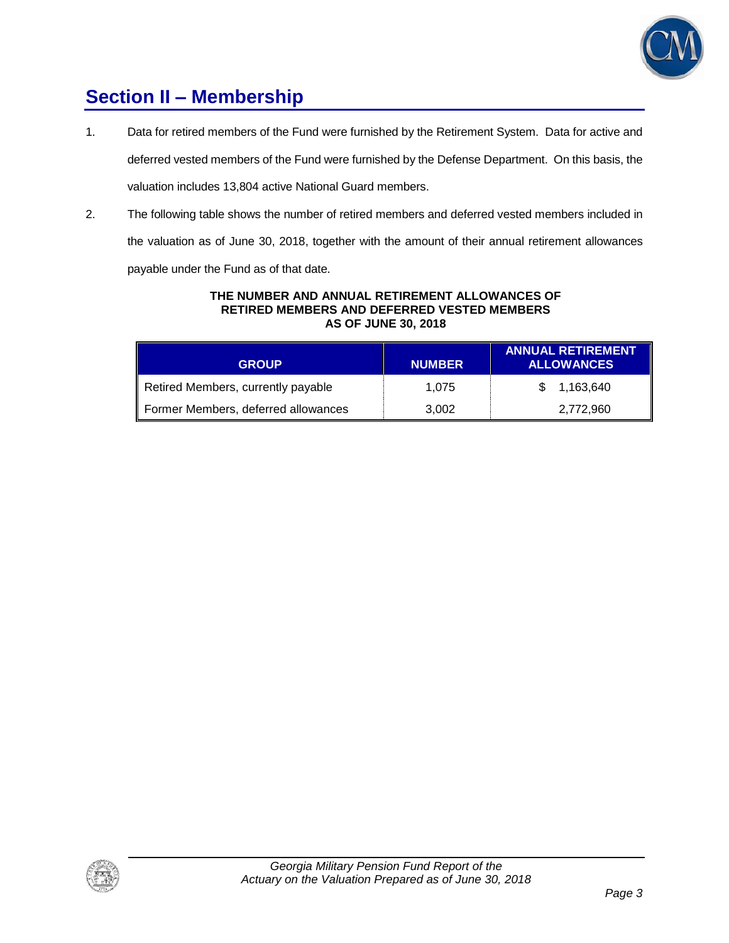

# **Section II – Membership**

1. Data for retired members of the Fund were furnished by the Retirement System. Data for active and deferred vested members of the Fund were furnished by the Defense Department. On this basis, the

valuation includes 13,804 active National Guard members.

2. The following table shows the number of retired members and deferred vested members included in

the valuation as of June 30, 2018, together with the amount of their annual retirement allowances

payable under the Fund as of that date.

#### **THE NUMBER AND ANNUAL RETIREMENT ALLOWANCES OF RETIRED MEMBERS AND DEFERRED VESTED MEMBERS AS OF JUNE 30, 2018**

| <b>GROUP</b>                        | <b>NUMBER</b> | <b>ANNUAL RETIREMENT</b><br><b>ALLOWANCES</b> |
|-------------------------------------|---------------|-----------------------------------------------|
| Retired Members, currently payable  | 1.075         | \$ 1,163,640                                  |
| Former Members, deferred allowances | 3,002         | 2,772,960                                     |

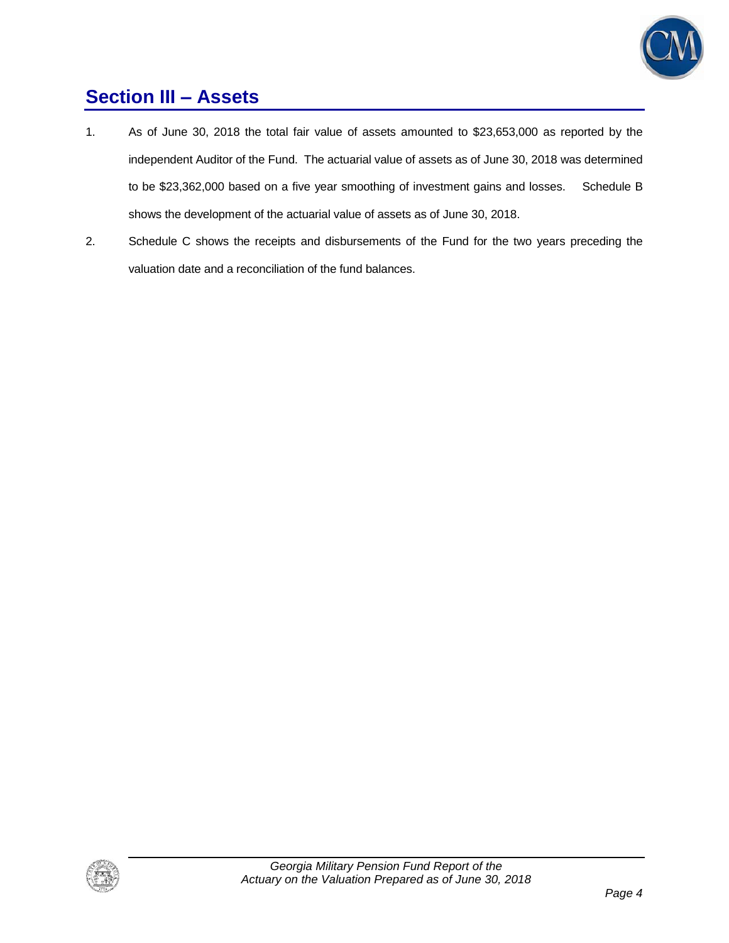

# **Section III – Assets**

- 1. As of June 30, 2018 the total fair value of assets amounted to \$23,653,000 as reported by the independent Auditor of the Fund. The actuarial value of assets as of June 30, 2018 was determined to be \$23,362,000 based on a five year smoothing of investment gains and losses. Schedule B shows the development of the actuarial value of assets as of June 30, 2018.
- 2. Schedule C shows the receipts and disbursements of the Fund for the two years preceding the valuation date and a reconciliation of the fund balances.

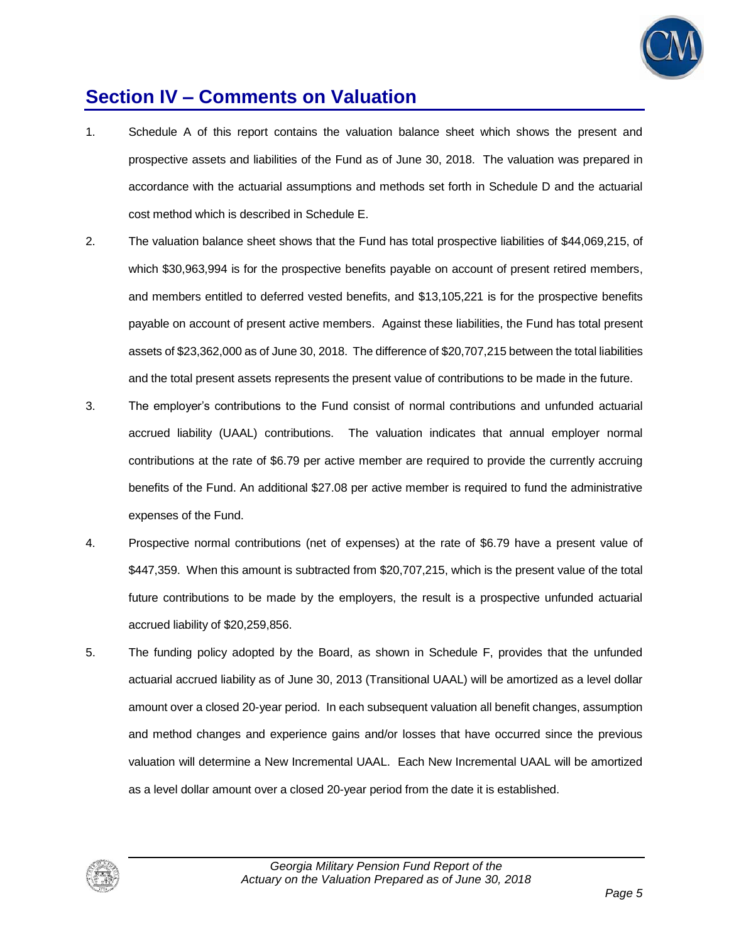

### **Section IV – Comments on Valuation**

- 1. Schedule A of this report contains the valuation balance sheet which shows the present and prospective assets and liabilities of the Fund as of June 30, 2018. The valuation was prepared in accordance with the actuarial assumptions and methods set forth in Schedule D and the actuarial cost method which is described in Schedule E.
- 2. The valuation balance sheet shows that the Fund has total prospective liabilities of \$44,069,215, of which \$30,963,994 is for the prospective benefits payable on account of present retired members, and members entitled to deferred vested benefits, and \$13,105,221 is for the prospective benefits payable on account of present active members. Against these liabilities, the Fund has total present assets of \$23,362,000 as of June 30, 2018. The difference of \$20,707,215 between the total liabilities and the total present assets represents the present value of contributions to be made in the future.
- 3. The employer's contributions to the Fund consist of normal contributions and unfunded actuarial accrued liability (UAAL) contributions. The valuation indicates that annual employer normal contributions at the rate of \$6.79 per active member are required to provide the currently accruing benefits of the Fund. An additional \$27.08 per active member is required to fund the administrative expenses of the Fund.
- 4. Prospective normal contributions (net of expenses) at the rate of \$6.79 have a present value of \$447,359. When this amount is subtracted from \$20,707,215, which is the present value of the total future contributions to be made by the employers, the result is a prospective unfunded actuarial accrued liability of \$20,259,856.
- 5. The funding policy adopted by the Board, as shown in Schedule F, provides that the unfunded actuarial accrued liability as of June 30, 2013 (Transitional UAAL) will be amortized as a level dollar amount over a closed 20-year period. In each subsequent valuation all benefit changes, assumption and method changes and experience gains and/or losses that have occurred since the previous valuation will determine a New Incremental UAAL. Each New Incremental UAAL will be amortized as a level dollar amount over a closed 20-year period from the date it is established.

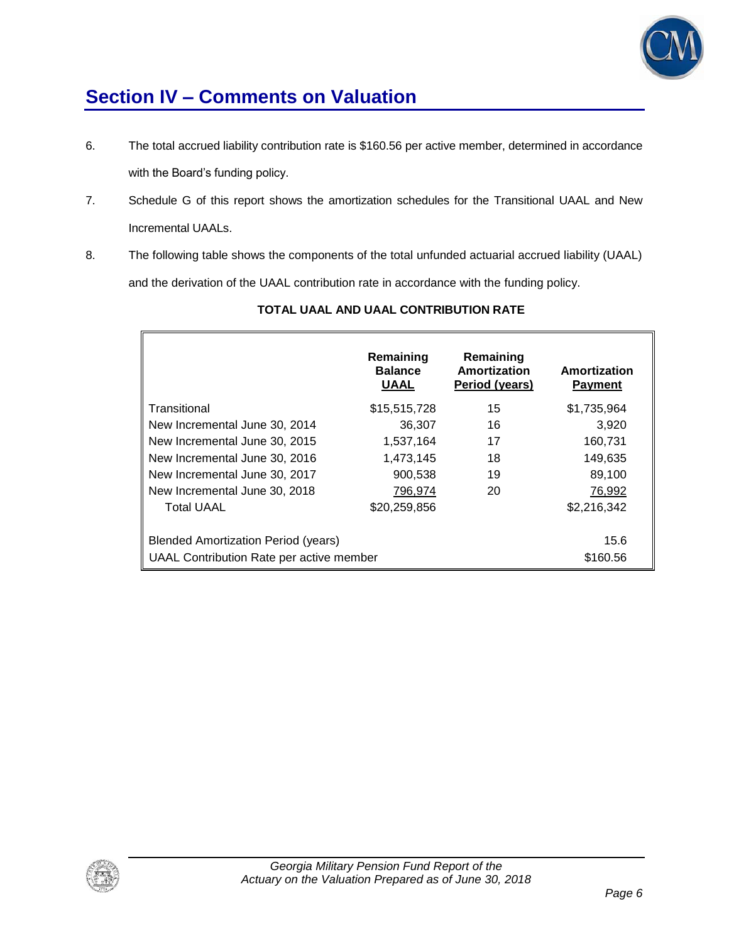

# **Section IV – Comments on Valuation**

- 6. The total accrued liability contribution rate is \$160.56 per active member, determined in accordance with the Board's funding policy.
- 7. Schedule G of this report shows the amortization schedules for the Transitional UAAL and New Incremental UAALs.
- 8. The following table shows the components of the total unfunded actuarial accrued liability (UAAL) and the derivation of the UAAL contribution rate in accordance with the funding policy.

|                                            | Remaining<br><b>Balance</b><br><b>UAAL</b> | Remaining<br>Amortization<br>Period (years) | Amortization<br><b>Payment</b> |
|--------------------------------------------|--------------------------------------------|---------------------------------------------|--------------------------------|
| Transitional                               | \$15,515,728                               | 15                                          | \$1,735,964                    |
| New Incremental June 30, 2014              | 36,307                                     | 16                                          | 3,920                          |
| New Incremental June 30, 2015              | 1,537,164                                  | 17                                          | 160,731                        |
| New Incremental June 30, 2016              | 1,473,145                                  | 18                                          | 149,635                        |
| New Incremental June 30, 2017              | 900,538                                    | 19                                          | 89,100                         |
| New Incremental June 30, 2018              | 796.974                                    | 20                                          | 76,992                         |
| <b>Total UAAL</b>                          | \$20,259,856                               |                                             | \$2,216,342                    |
|                                            |                                            |                                             |                                |
| <b>Blended Amortization Period (years)</b> | 15.6                                       |                                             |                                |
| UAAL Contribution Rate per active member   | \$160.56                                   |                                             |                                |

### **TOTAL UAAL AND UAAL CONTRIBUTION RATE**

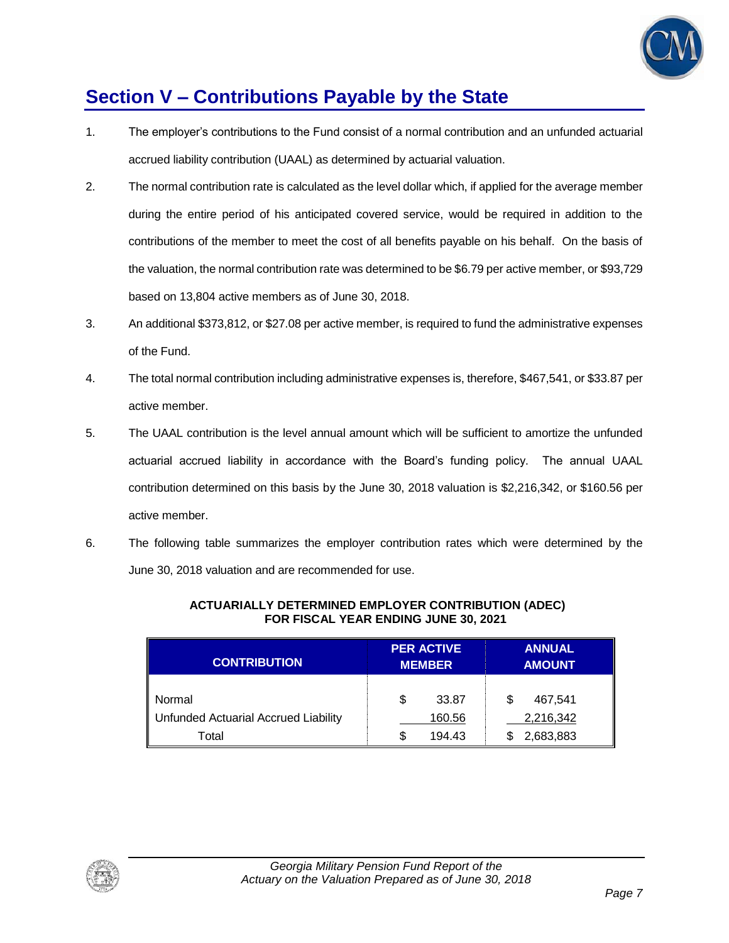

# **Section V – Contributions Payable by the State**

- 1. The employer's contributions to the Fund consist of a normal contribution and an unfunded actuarial accrued liability contribution (UAAL) as determined by actuarial valuation.
- 2. The normal contribution rate is calculated as the level dollar which, if applied for the average member during the entire period of his anticipated covered service, would be required in addition to the contributions of the member to meet the cost of all benefits payable on his behalf. On the basis of the valuation, the normal contribution rate was determined to be \$6.79 per active member, or \$93,729 based on 13,804 active members as of June 30, 2018.
- 3. An additional \$373,812, or \$27.08 per active member, is required to fund the administrative expenses of the Fund.
- 4. The total normal contribution including administrative expenses is, therefore, \$467,541, or \$33.87 per active member.
- 5. The UAAL contribution is the level annual amount which will be sufficient to amortize the unfunded actuarial accrued liability in accordance with the Board's funding policy. The annual UAAL contribution determined on this basis by the June 30, 2018 valuation is \$2,216,342, or \$160.56 per active member.
- 6. The following table summarizes the employer contribution rates which were determined by the June 30, 2018 valuation and are recommended for use.

| <b>CONTRIBUTION</b>                  |   | <b>PER ACTIVE</b><br><b>MEMBER</b> |   | <b>ANNUAL</b><br><b>AMOUNT</b> |
|--------------------------------------|---|------------------------------------|---|--------------------------------|
| Normal                               | S | 33.87                              | S | 467.541                        |
| Unfunded Actuarial Accrued Liability |   | 160.56                             |   | 2,216,342                      |
| Total                                | S | 194.43                             |   | 2,683,883                      |

#### **ACTUARIALLY DETERMINED EMPLOYER CONTRIBUTION (ADEC) FOR FISCAL YEAR ENDING JUNE 30, 2021**

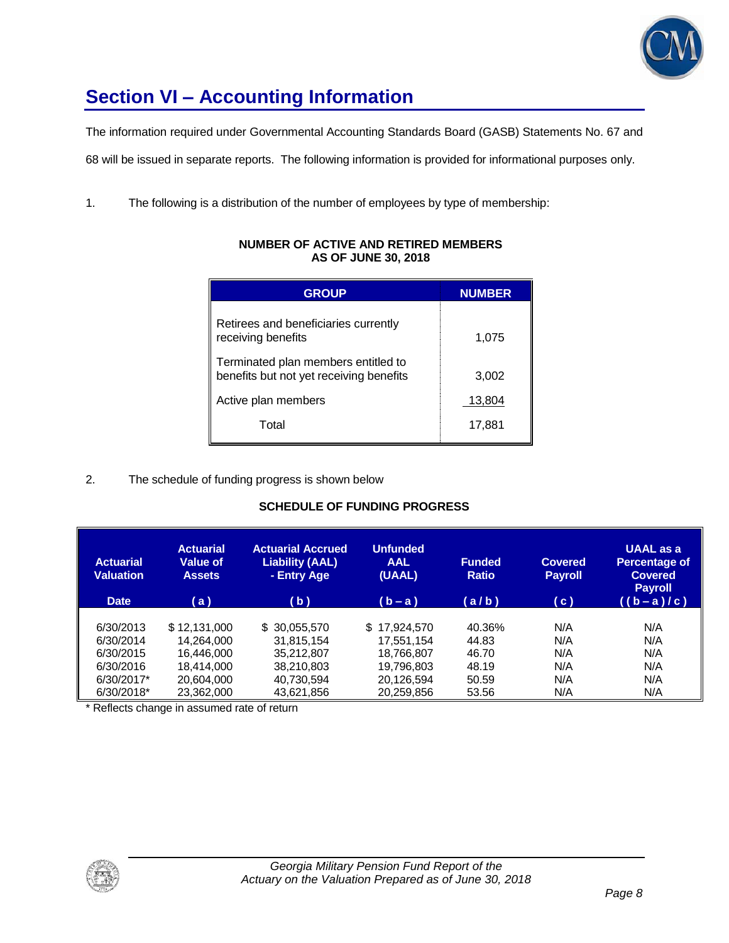

# **Section VI – Accounting Information**

The information required under Governmental Accounting Standards Board (GASB) Statements No. 67 and

68 will be issued in separate reports. The following information is provided for informational purposes only.

1. The following is a distribution of the number of employees by type of membership:

| <b>GROUP</b>                                                                   | <b>NUMBER</b> |
|--------------------------------------------------------------------------------|---------------|
| Retirees and beneficiaries currently<br>receiving benefits                     | 1,075         |
| Terminated plan members entitled to<br>benefits but not yet receiving benefits | 3,002         |
| Active plan members                                                            | 13,804        |
| Total                                                                          | 17,881        |

#### **NUMBER OF ACTIVE AND RETIRED MEMBERS AS OF JUNE 30, 2018**

### 2. The schedule of funding progress is shown below

### **SCHEDULE OF FUNDING PROGRESS**

| <b>Actuarial</b><br><b>Valuation</b><br><b>Date</b> | <b>Actuarial</b><br>Value of<br><b>Assets</b><br>(a) | <b>Actuarial Accrued</b><br><b>Liability (AAL)</b><br>- Entry Age<br>(b) | <b>Unfunded</b><br><b>AAL</b><br>(UAAL)<br>$(b - a)$ | <b>Funded</b><br><b>Ratio</b><br>(a/b) | <b>Covered</b><br><b>Payroll</b><br>(C) | <b>UAAL</b> as a<br><b>Percentage of</b><br><b>Covered</b><br><b>Payroll</b><br>$((b-a)/c)$ |
|-----------------------------------------------------|------------------------------------------------------|--------------------------------------------------------------------------|------------------------------------------------------|----------------------------------------|-----------------------------------------|---------------------------------------------------------------------------------------------|
| 6/30/2013                                           | \$12,131,000                                         | \$ 30,055,570                                                            | \$17.924.570                                         | 40.36%                                 | N/A                                     | N/A                                                                                         |
| 6/30/2014                                           | 14.264.000                                           | 31.815.154                                                               | 17.551.154                                           | 44.83                                  | N/A                                     | N/A                                                                                         |
| 6/30/2015                                           | 16.446.000                                           | 35.212.807                                                               | 18.766.807                                           | 46.70                                  | N/A                                     | N/A                                                                                         |
| 6/30/2016                                           | 18.414.000                                           | 38,210,803                                                               | 19.796.803                                           | 48.19                                  | N/A                                     | N/A                                                                                         |
| 6/30/2017*                                          | 20,604,000                                           | 40,730,594                                                               | 20,126,594                                           | 50.59                                  | N/A                                     | N/A                                                                                         |
| 6/30/2018*                                          | 23,362,000                                           | 43,621,856                                                               | 20,259,856                                           | 53.56                                  | N/A                                     | N/A                                                                                         |

\* Reflects change in assumed rate of return

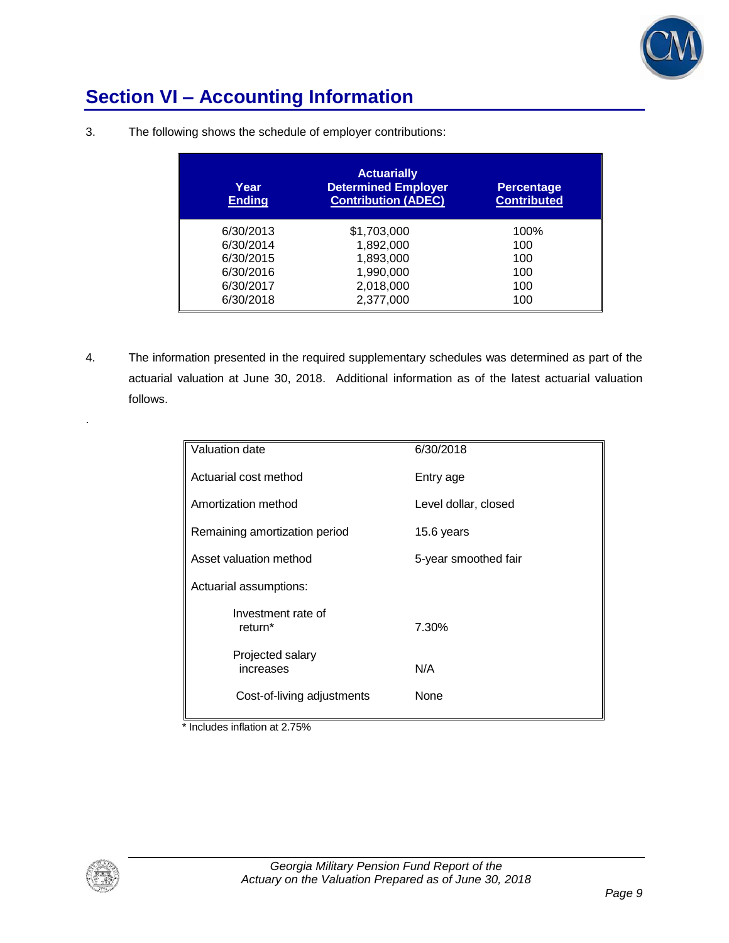

# **Section VI – Accounting Information**

| Year<br><b>Ending</b> | <b>Actuarially</b><br><b>Determined Employer</b><br><b>Contribution (ADEC)</b> | <b>Percentage</b><br><b>Contributed</b> |
|-----------------------|--------------------------------------------------------------------------------|-----------------------------------------|
| 6/30/2013             | \$1,703,000                                                                    | 100%                                    |
| 6/30/2014             | 1,892,000                                                                      | 100                                     |
| 6/30/2015             | 1,893,000                                                                      | 100                                     |
| 6/30/2016             | 1,990,000                                                                      | 100                                     |
| 6/30/2017             | 2,018,000                                                                      | 100                                     |
| 6/30/2018             | 2,377,000                                                                      | 100                                     |

3. The following shows the schedule of employer contributions:

4. The information presented in the required supplementary schedules was determined as part of the actuarial valuation at June 30, 2018. Additional information as of the latest actuarial valuation follows.

| Valuation date                            | 6/30/2018            |
|-------------------------------------------|----------------------|
| Actuarial cost method                     | Entry age            |
| Amortization method                       | Level dollar, closed |
| Remaining amortization period             | 15.6 years           |
| Asset valuation method                    | 5-year smoothed fair |
| Actuarial assumptions:                    |                      |
| Investment rate of<br>return <sup>*</sup> | 7.30%                |
| Projected salary<br>increases             | N/A                  |
| Cost-of-living adjustments                | None                 |

\* Includes inflation at 2.75%



.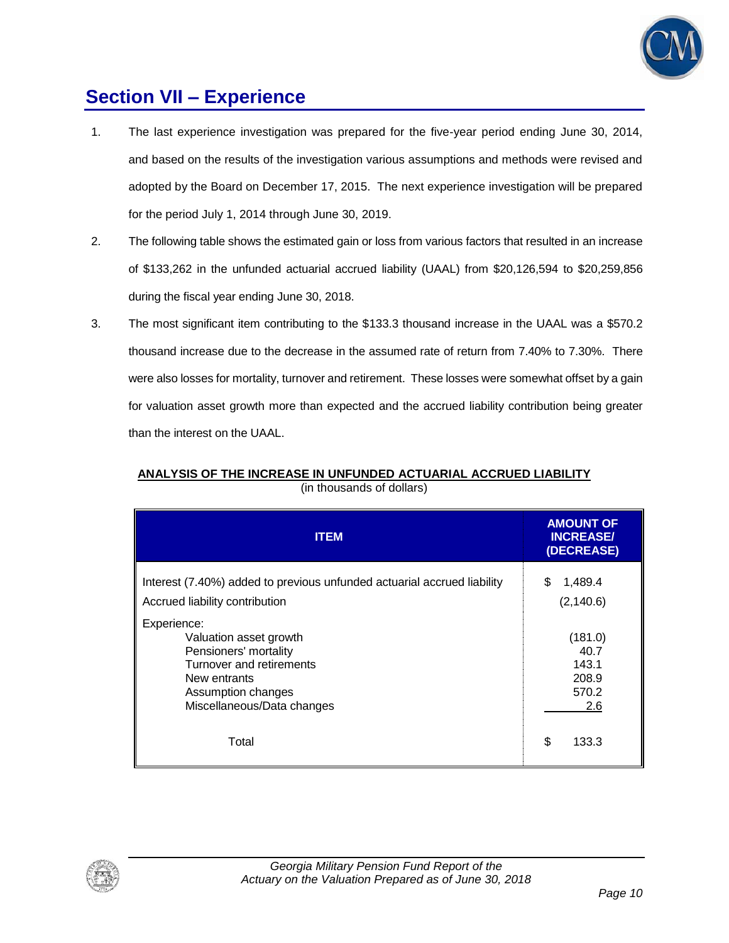

### **Section VII – Experience**

- 1. The last experience investigation was prepared for the five-year period ending June 30, 2014, and based on the results of the investigation various assumptions and methods were revised and adopted by the Board on December 17, 2015. The next experience investigation will be prepared for the period July 1, 2014 through June 30, 2019.
- 2. The following table shows the estimated gain or loss from various factors that resulted in an increase of \$133,262 in the unfunded actuarial accrued liability (UAAL) from \$20,126,594 to \$20,259,856 during the fiscal year ending June 30, 2018.
- 3. The most significant item contributing to the \$133.3 thousand increase in the UAAL was a \$570.2 thousand increase due to the decrease in the assumed rate of return from 7.40% to 7.30%. There were also losses for mortality, turnover and retirement. These losses were somewhat offset by a gain for valuation asset growth more than expected and the accrued liability contribution being greater than the interest on the UAAL.

| <b>ITEM</b>                                                                                                                                                    | <b>AMOUNT OF</b><br><b>INCREASE/</b><br>(DECREASE) |
|----------------------------------------------------------------------------------------------------------------------------------------------------------------|----------------------------------------------------|
| Interest (7.40%) added to previous unfunded actuarial accrued liability<br>Accrued liability contribution                                                      | 1,489.4<br>S<br>(2, 140.6)                         |
| Experience:<br>Valuation asset growth<br>Pensioners' mortality<br>Turnover and retirements<br>New entrants<br>Assumption changes<br>Miscellaneous/Data changes | (181.0)<br>40.7<br>143.1<br>208.9<br>570.2<br>2.6  |
| Total                                                                                                                                                          | \$<br>133.3                                        |

### **ANALYSIS OF THE INCREASE IN UNFUNDED ACTUARIAL ACCRUED LIABILITY** (in thousands of dollars)

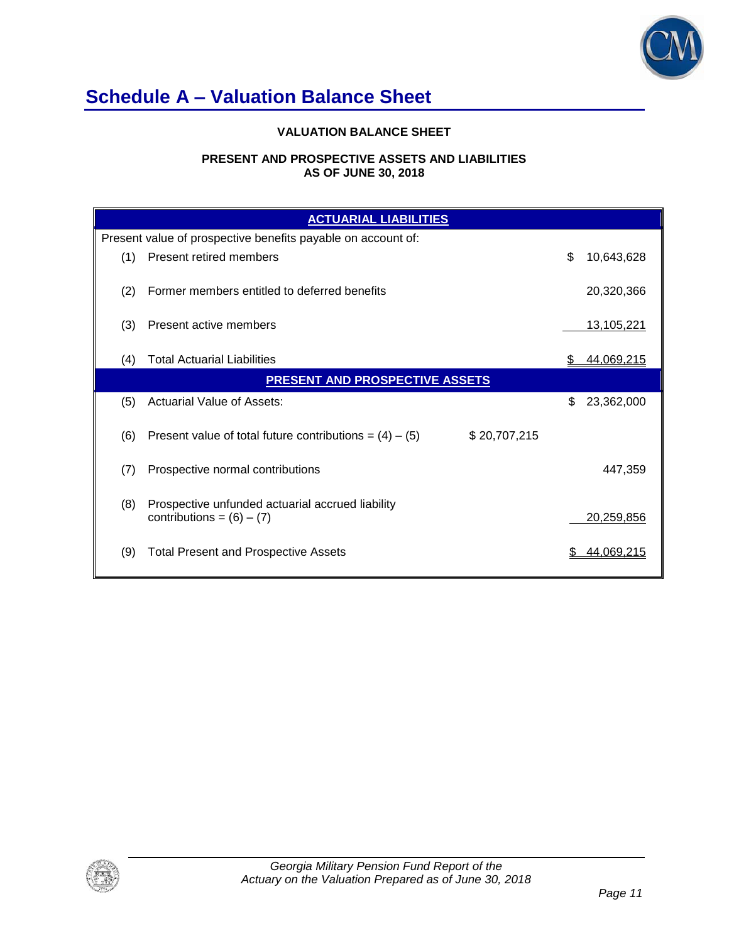

# **Schedule A – Valuation Balance Sheet**

### **VALUATION BALANCE SHEET**

#### **PRESENT AND PROSPECTIVE ASSETS AND LIABILITIES AS OF JUNE 30, 2018**

|     | <b>ACTUARIAL LIABILITIES</b>                                                    |                   |  |  |  |
|-----|---------------------------------------------------------------------------------|-------------------|--|--|--|
|     | Present value of prospective benefits payable on account of:                    |                   |  |  |  |
| (1) | Present retired members                                                         | \$<br>10,643,628  |  |  |  |
| (2) | Former members entitled to deferred benefits                                    | 20,320,366        |  |  |  |
| (3) | Present active members                                                          | <u>13,105,221</u> |  |  |  |
| (4) | <b>Total Actuarial Liabilities</b>                                              | 44,069,215        |  |  |  |
|     | <b>PRESENT AND PROSPECTIVE ASSETS</b>                                           |                   |  |  |  |
| (5) | Actuarial Value of Assets:                                                      | 23,362,000<br>\$. |  |  |  |
| (6) | Present value of total future contributions = $(4) - (5)$<br>\$20,707,215       |                   |  |  |  |
| (7) | Prospective normal contributions                                                | 447,359           |  |  |  |
| (8) | Prospective unfunded actuarial accrued liability<br>contributions = $(6) - (7)$ | 20,259,856        |  |  |  |
| (9) | <b>Total Present and Prospective Assets</b>                                     | 44,069,215        |  |  |  |

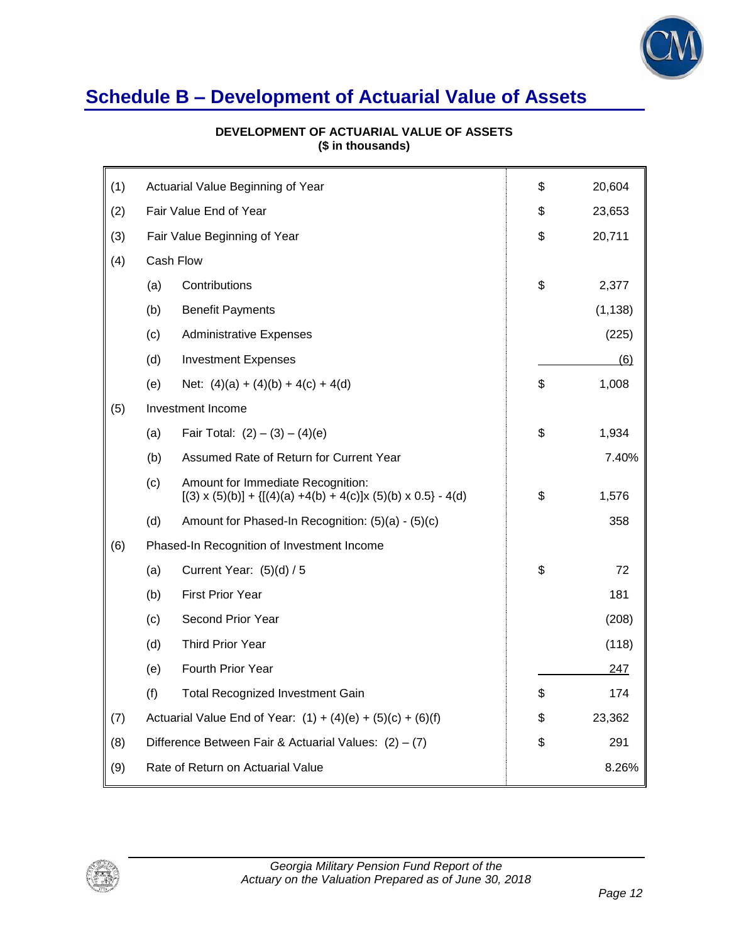

### **Schedule B – Development of Actuarial Value of Assets**

| (1) |                                                               | Actuarial Value Beginning of Year                                                                             | \$ | 20,604   |
|-----|---------------------------------------------------------------|---------------------------------------------------------------------------------------------------------------|----|----------|
| (2) | Fair Value End of Year                                        |                                                                                                               | \$ | 23,653   |
| (3) |                                                               | Fair Value Beginning of Year                                                                                  |    | 20,711   |
| (4) | Cash Flow                                                     |                                                                                                               |    |          |
|     | (a)                                                           | Contributions                                                                                                 | \$ | 2,377    |
|     | (b)                                                           | <b>Benefit Payments</b>                                                                                       |    | (1, 138) |
|     | (c)                                                           | <b>Administrative Expenses</b>                                                                                |    | (225)    |
|     | (d)                                                           | <b>Investment Expenses</b>                                                                                    |    | (6)      |
|     | (e)                                                           | Net: $(4)(a) + (4)(b) + 4(c) + 4(d)$                                                                          | \$ | 1,008    |
| (5) |                                                               | Investment Income                                                                                             |    |          |
|     | (a)                                                           | Fair Total: $(2) - (3) - (4)(e)$                                                                              | \$ | 1,934    |
|     | (b)<br>Assumed Rate of Return for Current Year                |                                                                                                               |    | 7.40%    |
|     | (c)                                                           | Amount for Immediate Recognition:<br>$[(3) \times (5)(b)] + {[(4)(a) +4(b) +4(c)]x (5)(b) \times 0.5} - 4(d)$ | \$ | 1,576    |
|     | (d)                                                           | Amount for Phased-In Recognition: (5)(a) - (5)(c)                                                             |    | 358      |
| (6) |                                                               | Phased-In Recognition of Investment Income                                                                    |    |          |
|     | (a)                                                           | Current Year: (5)(d) / 5                                                                                      | \$ | 72       |
|     | (b)                                                           | <b>First Prior Year</b>                                                                                       |    | 181      |
|     | (c)                                                           | Second Prior Year                                                                                             |    | (208)    |
|     | (d)                                                           | <b>Third Prior Year</b>                                                                                       |    | (118)    |
|     | (e)                                                           | Fourth Prior Year                                                                                             |    | 247      |
|     | (f)                                                           | <b>Total Recognized Investment Gain</b>                                                                       | \$ | 174      |
| (7) | Actuarial Value End of Year: $(1) + (4)(e) + (5)(c) + (6)(f)$ |                                                                                                               | \$ | 23,362   |
| (8) | Difference Between Fair & Actuarial Values: $(2) - (7)$       |                                                                                                               | \$ | 291      |
| (9) | Rate of Return on Actuarial Value                             |                                                                                                               |    | 8.26%    |

### **DEVELOPMENT OF ACTUARIAL VALUE OF ASSETS (\$ in thousands)**

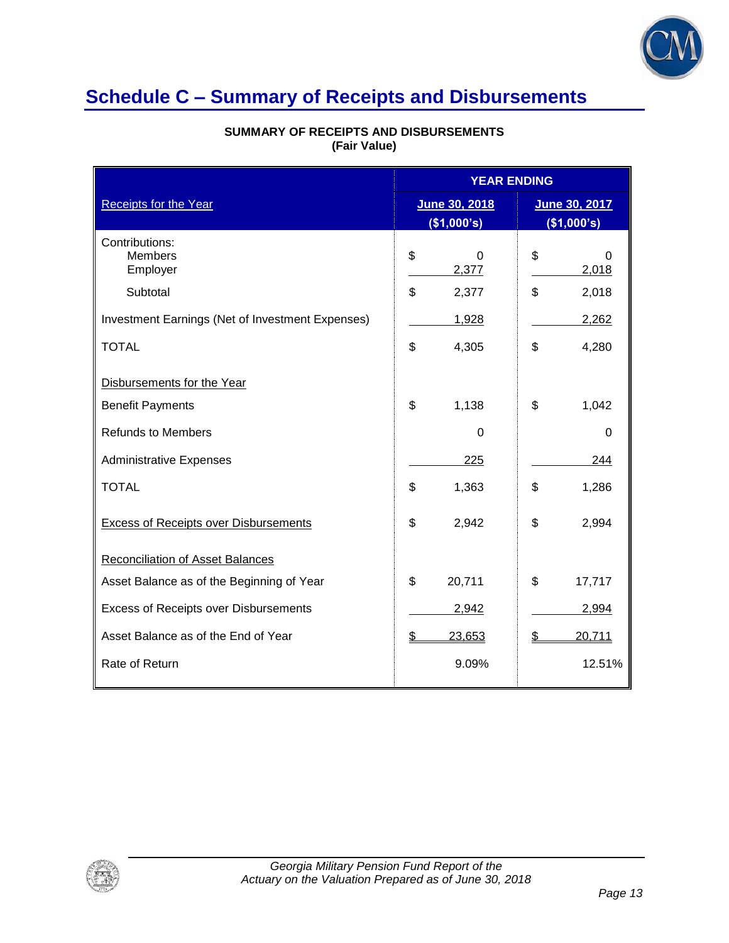

# **Schedule C – Summary of Receipts and Disbursements**

| <b>Receipts for the Year</b>                     |    | <b>YEAR ENDING</b>           |    |                              |
|--------------------------------------------------|----|------------------------------|----|------------------------------|
|                                                  |    | June 30, 2018<br>(\$1,000's) |    | June 30, 2017<br>(\$1,000's) |
| Contributions:<br><b>Members</b><br>Employer     | \$ | 0<br>2,377                   | \$ | 0<br>2,018                   |
| Subtotal                                         | \$ | 2,377                        | \$ | 2,018                        |
| Investment Earnings (Net of Investment Expenses) |    | 1,928                        |    | 2,262                        |
| <b>TOTAL</b>                                     | \$ | 4,305                        | \$ | 4,280                        |
| Disbursements for the Year                       |    |                              |    |                              |
| <b>Benefit Payments</b>                          | \$ | 1,138                        | \$ | 1,042                        |
| <b>Refunds to Members</b>                        |    | $\Omega$                     |    | $\Omega$                     |
| <b>Administrative Expenses</b>                   |    | 225                          |    | 244                          |
| <b>TOTAL</b>                                     | \$ | 1,363                        | \$ | 1,286                        |
| <b>Excess of Receipts over Disbursements</b>     | \$ | 2,942                        | \$ | 2,994                        |
| <b>Reconciliation of Asset Balances</b>          |    |                              |    |                              |
| Asset Balance as of the Beginning of Year        | \$ | 20,711                       | \$ | 17,717                       |
| Excess of Receipts over Disbursements            |    | 2,942                        |    | 2,994                        |
| Asset Balance as of the End of Year              | \$ | 23,653                       | \$ | 20,711                       |
| Rate of Return                                   |    | 9.09%                        |    | 12.51%                       |

### **SUMMARY OF RECEIPTS AND DISBURSEMENTS (Fair Value)**

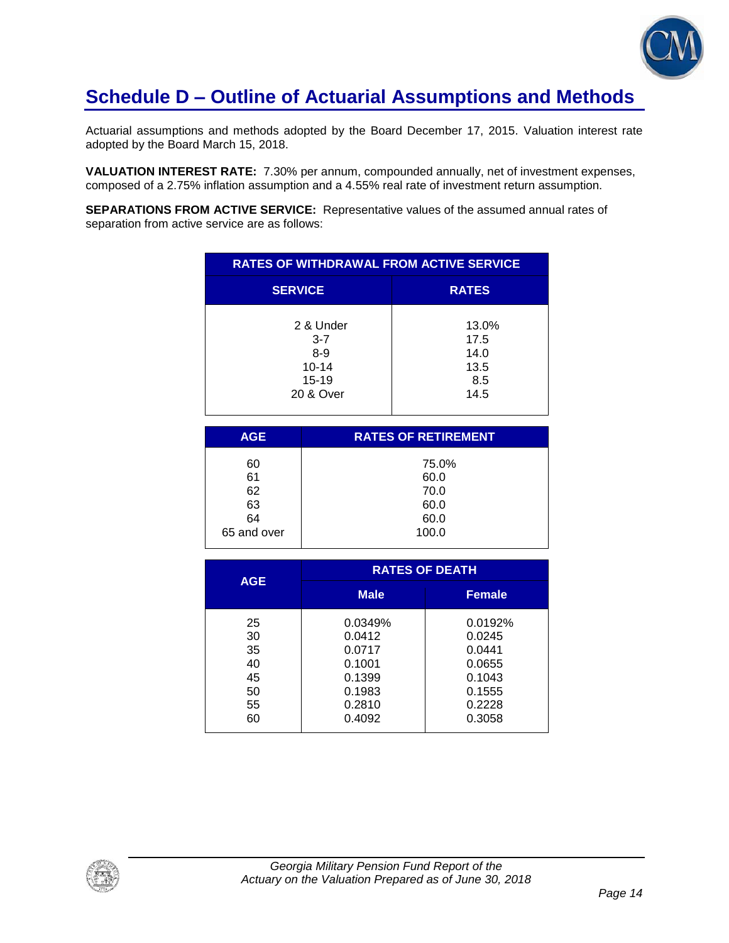

# **Schedule D – Outline of Actuarial Assumptions and Methods**

Actuarial assumptions and methods adopted by the Board December 17, 2015. Valuation interest rate adopted by the Board March 15, 2018.

**VALUATION INTEREST RATE:** 7.30% per annum, compounded annually, net of investment expenses, composed of a 2.75% inflation assumption and a 4.55% real rate of investment return assumption.

**SEPARATIONS FROM ACTIVE SERVICE:** Representative values of the assumed annual rates of separation from active service are as follows:

| <b>RATES OF WITHDRAWAL FROM ACTIVE SERVICE</b>                         |                                              |  |  |
|------------------------------------------------------------------------|----------------------------------------------|--|--|
| <b>SERVICE</b>                                                         | <b>RATES</b>                                 |  |  |
| 2 & Under<br>$3 - 7$<br>$8 - 9$<br>$10 - 14$<br>$15 - 19$<br>20 & Over | 13.0%<br>17.5<br>14.0<br>13.5<br>8.5<br>14.5 |  |  |

| <b>AGE</b>  | <b>RATES OF RETIREMENT</b> |
|-------------|----------------------------|
| 60          | 75.0%                      |
| 61          | 60.0                       |
| 62          | 70.0                       |
| 63          | 60.0                       |
| 64          | 60.0                       |
| 65 and over | 100.0                      |
|             |                            |

| <b>AGE</b> | <b>RATES OF DEATH</b> |               |  |
|------------|-----------------------|---------------|--|
|            | <b>Male</b>           | <b>Female</b> |  |
| 25         | 0.0349%               | 0.0192%       |  |
| 30         | 0.0412                | 0.0245        |  |
| 35         | 0.0717                | 0.0441        |  |
| 40         | 0.1001                | 0.0655        |  |
| 45         | 0.1399                | 0.1043        |  |
| 50         | 0.1983                | 0.1555        |  |
| 55         | 0.2810                | 0.2228        |  |
| 60         | 0.4092                | 0.3058        |  |

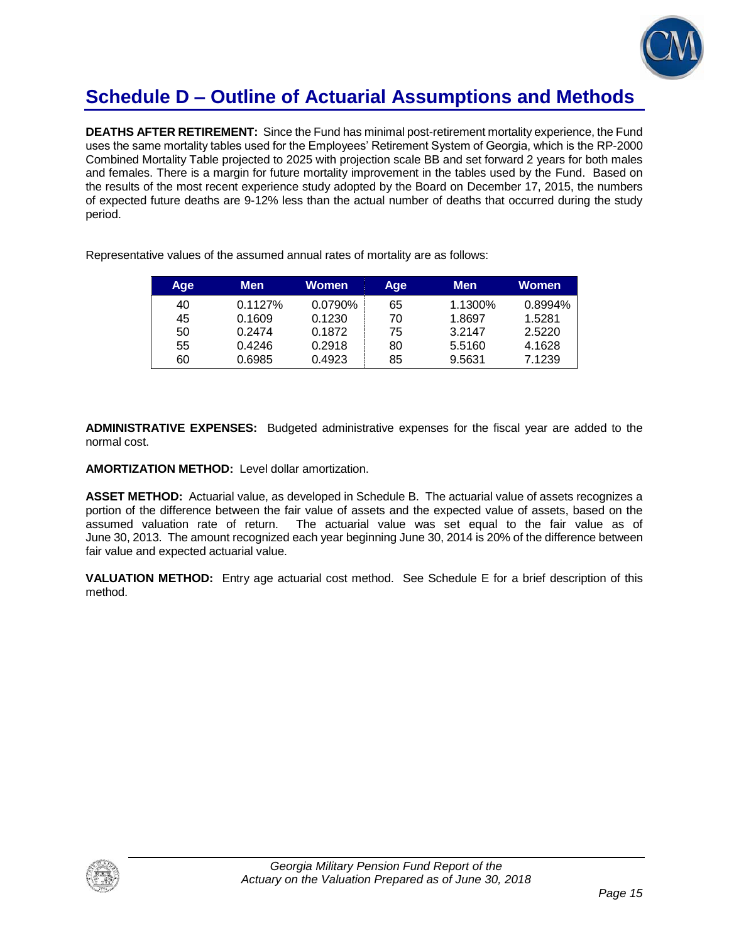

# **Schedule D – Outline of Actuarial Assumptions and Methods**

**DEATHS AFTER RETIREMENT:** Since the Fund has minimal post-retirement mortality experience, the Fund uses the same mortality tables used for the Employees' Retirement System of Georgia, which is the RP-2000 Combined Mortality Table projected to 2025 with projection scale BB and set forward 2 years for both males and females. There is a margin for future mortality improvement in the tables used by the Fund. Based on the results of the most recent experience study adopted by the Board on December 17, 2015, the numbers of expected future deaths are 9-12% less than the actual number of deaths that occurred during the study period.

| <b>Age</b> | Men     | Women   | Age | <b>Men</b> | Women   |
|------------|---------|---------|-----|------------|---------|
| 40         | 0.1127% | 0.0790% | 65  | 1.1300%    | 0.8994% |
| 45         | 0.1609  | 0.1230  | 70  | 1.8697     | 1.5281  |
| 50         | 0.2474  | 0.1872  | 75  | 3.2147     | 2.5220  |
| 55         | 0.4246  | 0.2918  | 80  | 5.5160     | 4.1628  |
| 60         | 0.6985  | 0.4923  | 85  | 9.5631     | 7.1239  |

Representative values of the assumed annual rates of mortality are as follows:

**ADMINISTRATIVE EXPENSES:** Budgeted administrative expenses for the fiscal year are added to the normal cost.

**AMORTIZATION METHOD:** Level dollar amortization.

**ASSET METHOD:** Actuarial value, as developed in Schedule B. The actuarial value of assets recognizes a portion of the difference between the fair value of assets and the expected value of assets, based on the assumed valuation rate of return. The actuarial value was set equal to the fair value as of June 30, 2013. The amount recognized each year beginning June 30, 2014 is 20% of the difference between fair value and expected actuarial value.

**VALUATION METHOD:** Entry age actuarial cost method. See Schedule E for a brief description of this method.

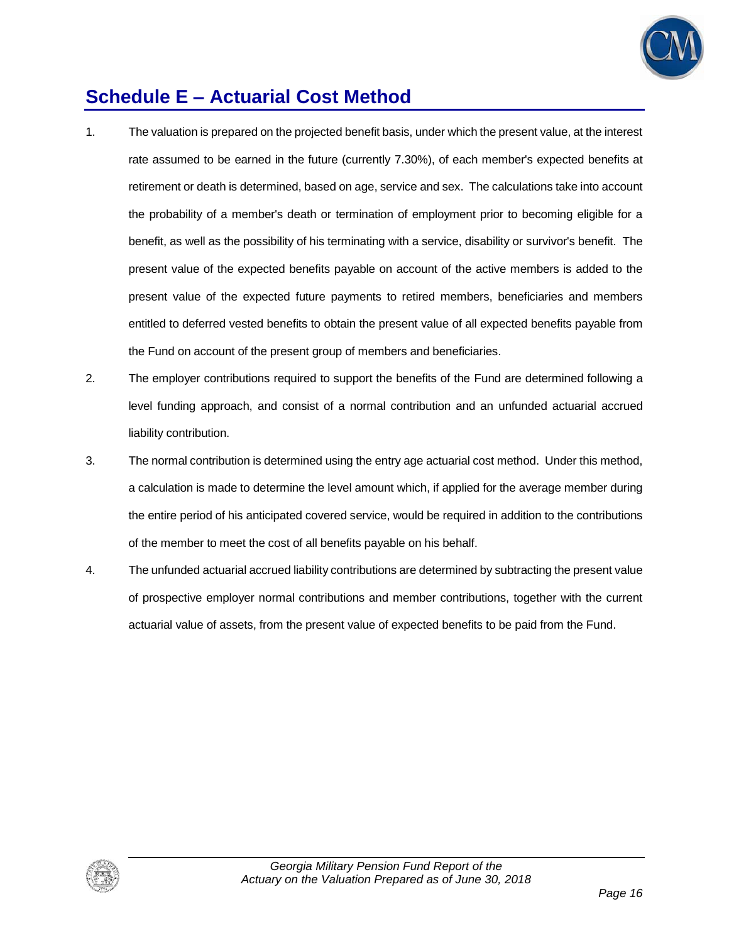

# **Schedule E – Actuarial Cost Method**

- 1. The valuation is prepared on the projected benefit basis, under which the present value, at the interest rate assumed to be earned in the future (currently 7.30%), of each member's expected benefits at retirement or death is determined, based on age, service and sex. The calculations take into account the probability of a member's death or termination of employment prior to becoming eligible for a benefit, as well as the possibility of his terminating with a service, disability or survivor's benefit. The present value of the expected benefits payable on account of the active members is added to the present value of the expected future payments to retired members, beneficiaries and members entitled to deferred vested benefits to obtain the present value of all expected benefits payable from the Fund on account of the present group of members and beneficiaries.
- 2. The employer contributions required to support the benefits of the Fund are determined following a level funding approach, and consist of a normal contribution and an unfunded actuarial accrued liability contribution.
- 3. The normal contribution is determined using the entry age actuarial cost method. Under this method, a calculation is made to determine the level amount which, if applied for the average member during the entire period of his anticipated covered service, would be required in addition to the contributions of the member to meet the cost of all benefits payable on his behalf.
- 4. The unfunded actuarial accrued liability contributions are determined by subtracting the present value of prospective employer normal contributions and member contributions, together with the current actuarial value of assets, from the present value of expected benefits to be paid from the Fund.

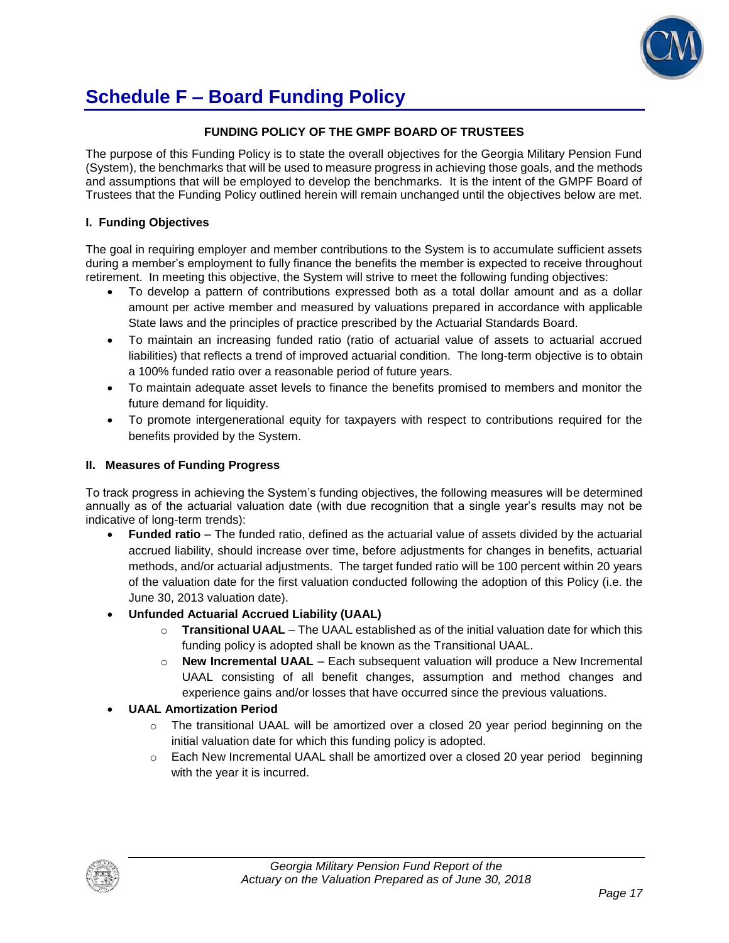

# **Schedule F – Board Funding Policy**

#### **FUNDING POLICY OF THE GMPF BOARD OF TRUSTEES**

The purpose of this Funding Policy is to state the overall objectives for the Georgia Military Pension Fund (System), the benchmarks that will be used to measure progress in achieving those goals, and the methods and assumptions that will be employed to develop the benchmarks. It is the intent of the GMPF Board of Trustees that the Funding Policy outlined herein will remain unchanged until the objectives below are met.

#### **I. Funding Objectives**

The goal in requiring employer and member contributions to the System is to accumulate sufficient assets during a member's employment to fully finance the benefits the member is expected to receive throughout retirement. In meeting this objective, the System will strive to meet the following funding objectives:

- To develop a pattern of contributions expressed both as a total dollar amount and as a dollar amount per active member and measured by valuations prepared in accordance with applicable State laws and the principles of practice prescribed by the Actuarial Standards Board.
- To maintain an increasing funded ratio (ratio of actuarial value of assets to actuarial accrued liabilities) that reflects a trend of improved actuarial condition. The long-term objective is to obtain a 100% funded ratio over a reasonable period of future years.
- To maintain adequate asset levels to finance the benefits promised to members and monitor the future demand for liquidity.
- To promote intergenerational equity for taxpayers with respect to contributions required for the benefits provided by the System.

#### **II. Measures of Funding Progress**

To track progress in achieving the System's funding objectives, the following measures will be determined annually as of the actuarial valuation date (with due recognition that a single year's results may not be indicative of long-term trends):

- **Funded ratio** The funded ratio, defined as the actuarial value of assets divided by the actuarial accrued liability, should increase over time, before adjustments for changes in benefits, actuarial methods, and/or actuarial adjustments. The target funded ratio will be 100 percent within 20 years of the valuation date for the first valuation conducted following the adoption of this Policy (i.e. the June 30, 2013 valuation date).
- **Unfunded Actuarial Accrued Liability (UAAL)**
	- o **Transitional UAAL** The UAAL established as of the initial valuation date for which this funding policy is adopted shall be known as the Transitional UAAL.
	- o **New Incremental UAAL** Each subsequent valuation will produce a New Incremental UAAL consisting of all benefit changes, assumption and method changes and experience gains and/or losses that have occurred since the previous valuations.

### **UAAL Amortization Period**

- $\circ$  The transitional UAAL will be amortized over a closed 20 year period beginning on the initial valuation date for which this funding policy is adopted.
- $\circ$  Each New Incremental UAAL shall be amortized over a closed 20 year period beginning with the year it is incurred.

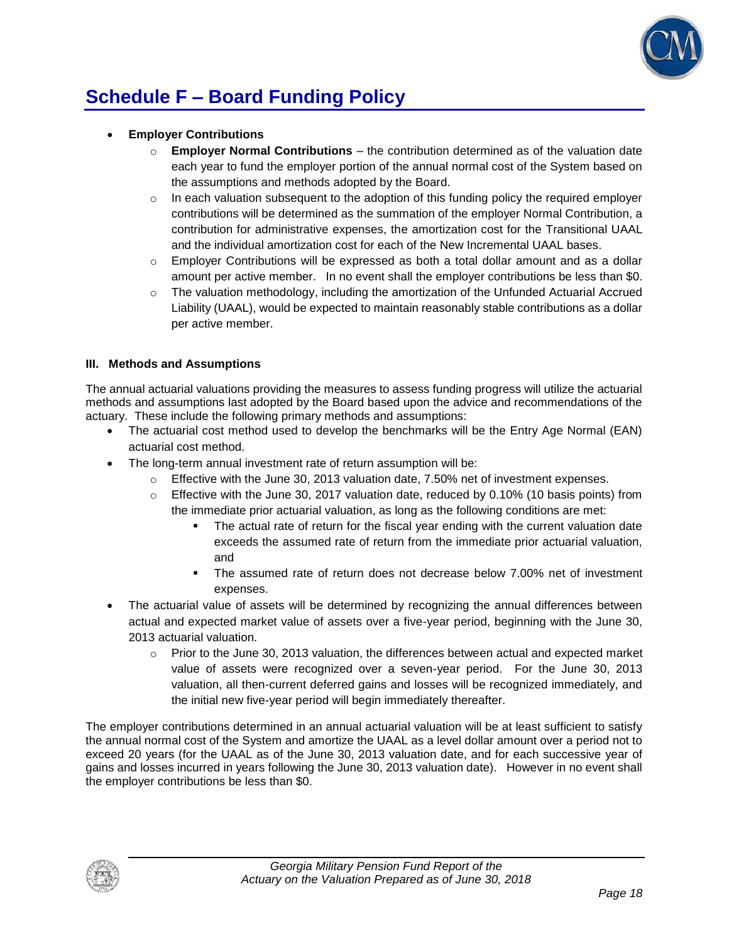

# **Schedule F – Board Funding Policy**

- **Employer Contributions**
	- o **Employer Normal Contributions**  the contribution determined as of the valuation date each year to fund the employer portion of the annual normal cost of the System based on the assumptions and methods adopted by the Board.
	- $\circ$  In each valuation subsequent to the adoption of this funding policy the required employer contributions will be determined as the summation of the employer Normal Contribution, a contribution for administrative expenses, the amortization cost for the Transitional UAAL and the individual amortization cost for each of the New Incremental UAAL bases.
	- $\circ$  Employer Contributions will be expressed as both a total dollar amount and as a dollar amount per active member. In no event shall the employer contributions be less than \$0.
	- $\circ$  The valuation methodology, including the amortization of the Unfunded Actuarial Accrued Liability (UAAL), would be expected to maintain reasonably stable contributions as a dollar per active member.

### **III. Methods and Assumptions**

The annual actuarial valuations providing the measures to assess funding progress will utilize the actuarial methods and assumptions last adopted by the Board based upon the advice and recommendations of the actuary. These include the following primary methods and assumptions:

- The actuarial cost method used to develop the benchmarks will be the Entry Age Normal (EAN) actuarial cost method.
- The long-term annual investment rate of return assumption will be:
	- $\circ$  Effective with the June 30, 2013 valuation date, 7.50% net of investment expenses.
	- $\circ$  Effective with the June 30, 2017 valuation date, reduced by 0.10% (10 basis points) from the immediate prior actuarial valuation, as long as the following conditions are met:
		- The actual rate of return for the fiscal year ending with the current valuation date exceeds the assumed rate of return from the immediate prior actuarial valuation, and
		- The assumed rate of return does not decrease below 7.00% net of investment expenses.
- The actuarial value of assets will be determined by recognizing the annual differences between actual and expected market value of assets over a five-year period, beginning with the June 30, 2013 actuarial valuation.
	- $\circ$  Prior to the June 30, 2013 valuation, the differences between actual and expected market value of assets were recognized over a seven-year period. For the June 30, 2013 valuation, all then-current deferred gains and losses will be recognized immediately, and the initial new five-year period will begin immediately thereafter.

The employer contributions determined in an annual actuarial valuation will be at least sufficient to satisfy the annual normal cost of the System and amortize the UAAL as a level dollar amount over a period not to exceed 20 years (for the UAAL as of the June 30, 2013 valuation date, and for each successive year of gains and losses incurred in years following the June 30, 2013 valuation date). However in no event shall the employer contributions be less than \$0.

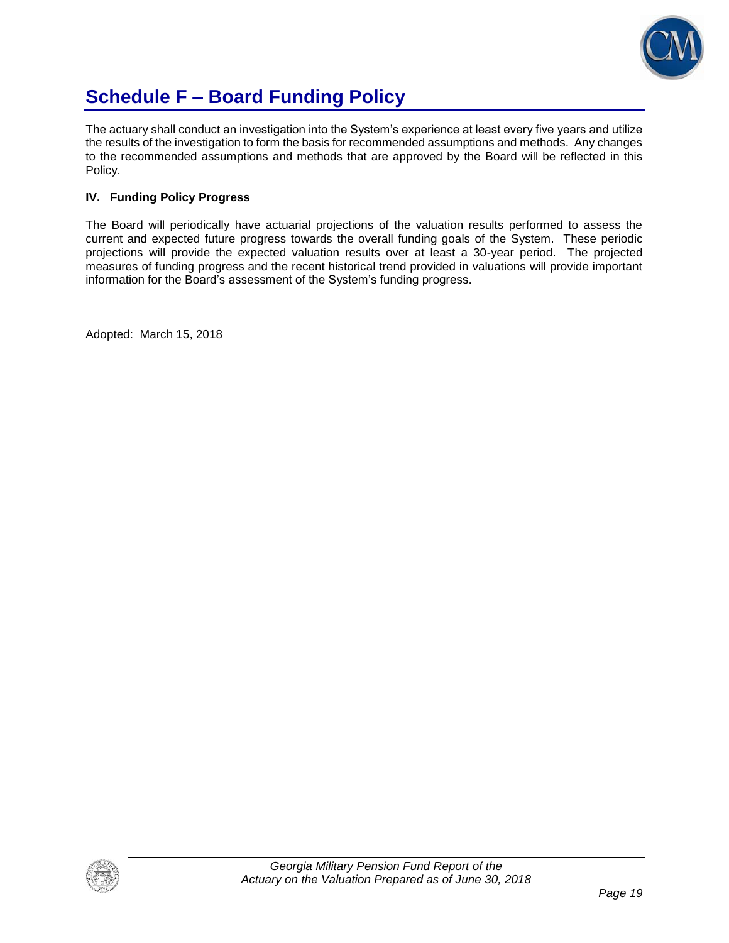

# **Schedule F – Board Funding Policy**

The actuary shall conduct an investigation into the System's experience at least every five years and utilize the results of the investigation to form the basis for recommended assumptions and methods. Any changes to the recommended assumptions and methods that are approved by the Board will be reflected in this Policy.

### **IV. Funding Policy Progress**

The Board will periodically have actuarial projections of the valuation results performed to assess the current and expected future progress towards the overall funding goals of the System. These periodic projections will provide the expected valuation results over at least a 30-year period. The projected measures of funding progress and the recent historical trend provided in valuations will provide important information for the Board's assessment of the System's funding progress.

Adopted: March 15, 2018

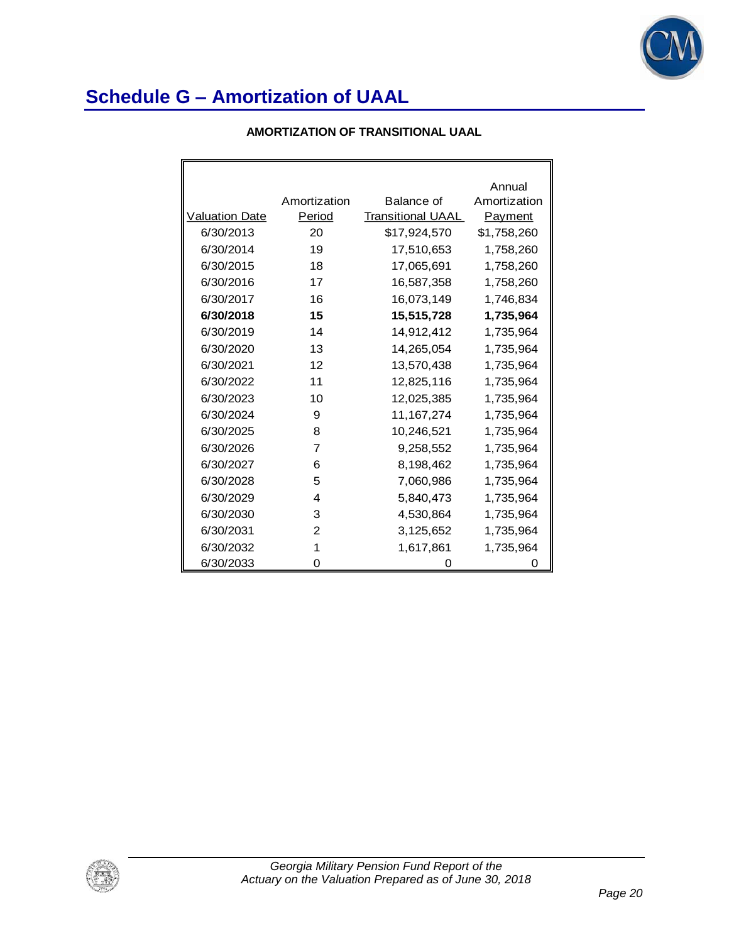

### **AMORTIZATION OF TRANSITIONAL UAAL**

|                       |                |                          | Annual       |
|-----------------------|----------------|--------------------------|--------------|
|                       | Amortization   | Balance of               | Amortization |
| <b>Valuation Date</b> | Period         | <b>Transitional UAAL</b> | Payment      |
| 6/30/2013             | 20             | \$17,924,570             | \$1,758,260  |
| 6/30/2014             | 19             | 17,510,653               | 1,758,260    |
| 6/30/2015             | 18             | 17,065,691               | 1,758,260    |
| 6/30/2016             | 17             | 16,587,358               | 1,758,260    |
| 6/30/2017             | 16             | 16,073,149               | 1,746,834    |
| 6/30/2018             | 15             | 15,515,728               | 1,735,964    |
| 6/30/2019             | 14             | 14,912,412               | 1,735,964    |
| 6/30/2020             | 13             | 14,265,054               | 1,735,964    |
| 6/30/2021             | 12             | 13,570,438               | 1,735,964    |
| 6/30/2022             | 11             | 12,825,116               | 1,735,964    |
| 6/30/2023             | 10             | 12,025,385               | 1,735,964    |
| 6/30/2024             | 9              | 11, 167, 274             | 1,735,964    |
| 6/30/2025             | 8              | 10,246,521               | 1,735,964    |
| 6/30/2026             | $\overline{7}$ | 9,258,552                | 1,735,964    |
| 6/30/2027             | 6              | 8,198,462                | 1,735,964    |
| 6/30/2028             | 5              | 7,060,986                | 1,735,964    |
| 6/30/2029             | 4              | 5,840,473                | 1,735,964    |
| 6/30/2030             | 3              | 4,530,864                | 1,735,964    |
| 6/30/2031             | 2              | 3,125,652                | 1,735,964    |
| 6/30/2032             | 1              | 1,617,861                | 1,735,964    |
| 6/30/2033             | 0              | 0                        | 0            |

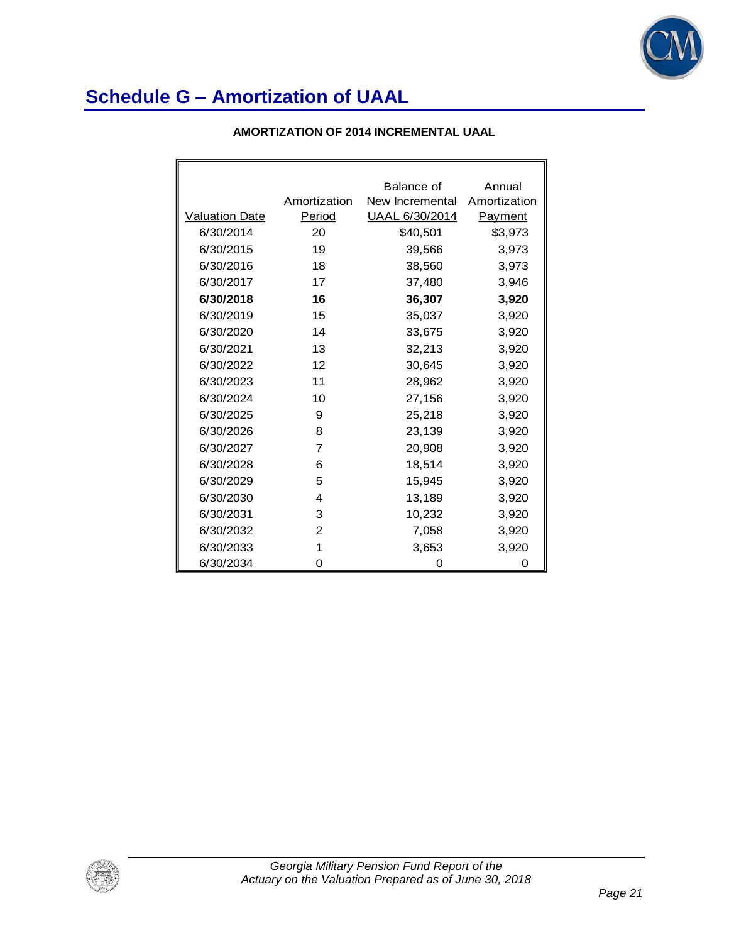

|                       |              | Balance of            | Annual         |
|-----------------------|--------------|-----------------------|----------------|
|                       | Amortization | New Incremental       | Amortization   |
| <b>Valuation Date</b> | Period       | <u>UAAL 6/30/2014</u> | <u>Payment</u> |
| 6/30/2014             | 20           | \$40,501              | \$3,973        |
| 6/30/2015             | 19           | 39,566                | 3,973          |
| 6/30/2016             | 18           | 38,560                | 3,973          |
| 6/30/2017             | 17           | 37,480                | 3,946          |
| 6/30/2018             | 16           | 36,307                | 3,920          |
| 6/30/2019             | 15           | 35,037                | 3,920          |
| 6/30/2020             | 14           | 33,675                | 3,920          |
| 6/30/2021             | 13           | 32,213                | 3,920          |
| 6/30/2022             | 12           | 30,645                | 3,920          |
| 6/30/2023             | 11           | 28,962                | 3,920          |
| 6/30/2024             | 10           | 27,156                | 3,920          |
| 6/30/2025             | 9            | 25,218                | 3,920          |
| 6/30/2026             | 8            | 23,139                | 3,920          |
| 6/30/2027             | 7            | 20,908                | 3,920          |
| 6/30/2028             | 6            | 18,514                | 3,920          |
| 6/30/2029             | 5            | 15,945                | 3,920          |
| 6/30/2030             | 4            | 13,189                | 3,920          |
| 6/30/2031             | 3            | 10,232                | 3,920          |
| 6/30/2032             | 2            | 7,058                 | 3,920          |
| 6/30/2033             | 1            | 3,653                 | 3,920          |
| 6/30/2034             | 0            | 0                     | Ω              |

### **AMORTIZATION OF 2014 INCREMENTAL UAAL**

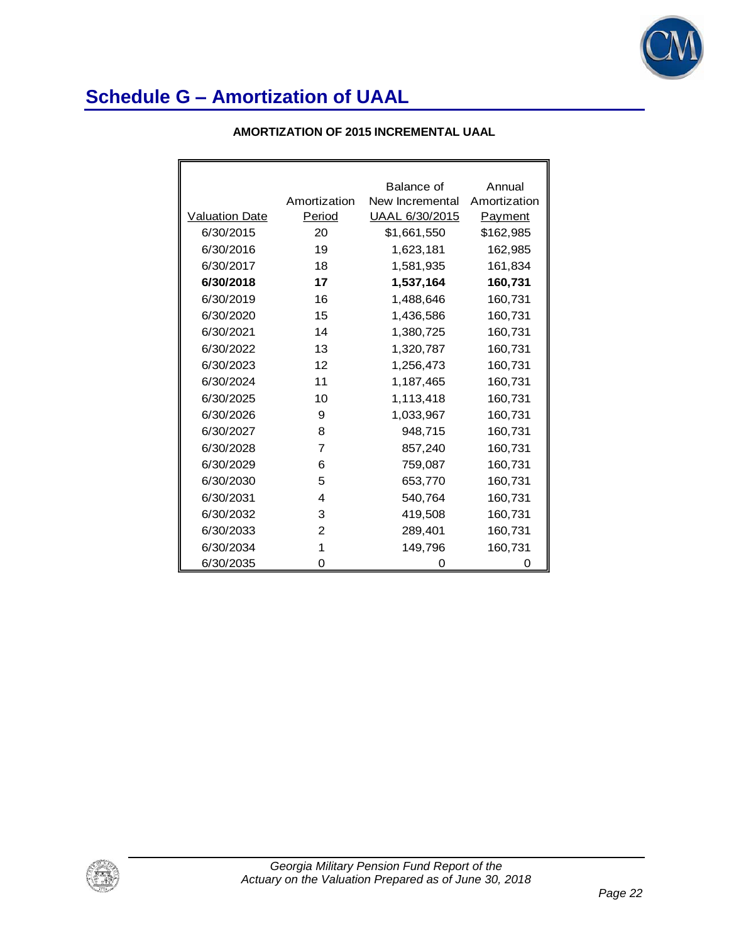

### **AMORTIZATION OF 2015 INCREMENTAL UAAL**

|                       |              | Balance of      | Annual       |
|-----------------------|--------------|-----------------|--------------|
|                       | Amortization | New Incremental | Amortization |
| <b>Valuation Date</b> | Period       | UAAL 6/30/2015  | Payment      |
| 6/30/2015             | 20           | \$1,661,550     | \$162,985    |
| 6/30/2016             | 19           | 1,623,181       | 162,985      |
| 6/30/2017             | 18           | 1,581,935       | 161,834      |
| 6/30/2018             | 17           | 1,537,164       | 160,731      |
| 6/30/2019             | 16           | 1,488,646       | 160,731      |
| 6/30/2020             | 15           | 1,436,586       | 160,731      |
| 6/30/2021             | 14           | 1,380,725       | 160,731      |
| 6/30/2022             | 13           | 1,320,787       | 160,731      |
| 6/30/2023             | 12           | 1,256,473       | 160,731      |
| 6/30/2024             | 11           | 1,187,465       | 160,731      |
| 6/30/2025             | 10           | 1,113,418       | 160,731      |
| 6/30/2026             | 9            | 1,033,967       | 160,731      |
| 6/30/2027             | 8            | 948,715         | 160,731      |
| 6/30/2028             | 7            | 857,240         | 160,731      |
| 6/30/2029             | 6            | 759,087         | 160,731      |
| 6/30/2030             | 5            | 653,770         | 160,731      |
| 6/30/2031             | 4            | 540,764         | 160,731      |
| 6/30/2032             | 3            | 419,508         | 160,731      |
| 6/30/2033             | 2            | 289,401         | 160,731      |
| 6/30/2034             | 1            | 149,796         | 160,731      |
| 6/30/2035             | 0            | 0               | 0            |

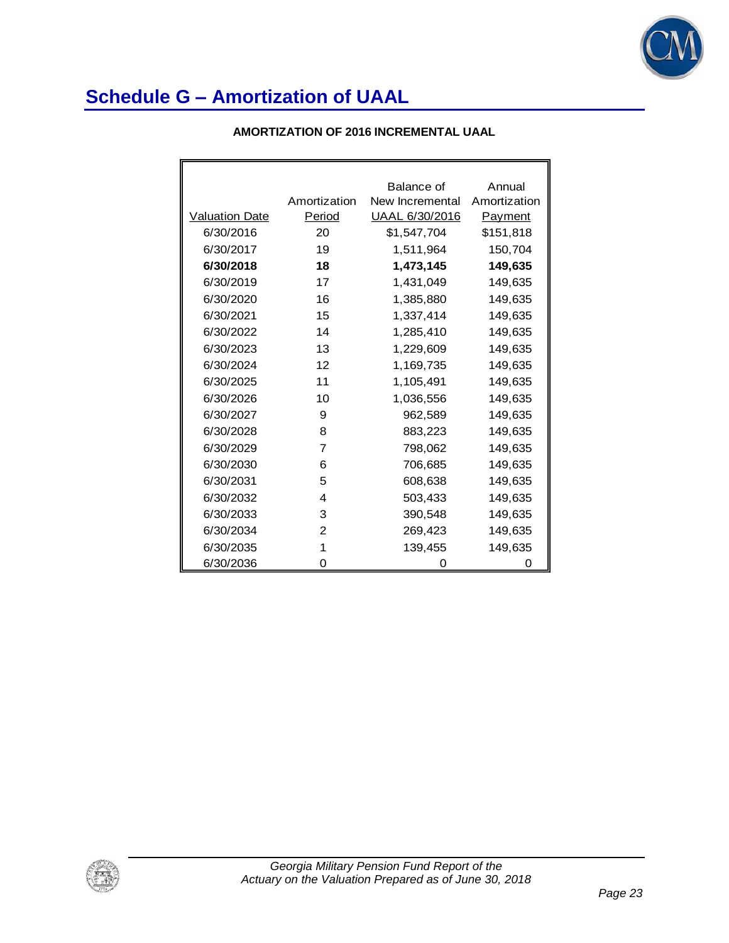

|                       |              | Balance of      | Annual       |
|-----------------------|--------------|-----------------|--------------|
|                       | Amortization | New Incremental | Amortization |
| <b>Valuation Date</b> | Period       | UAAL 6/30/2016  | Payment      |
| 6/30/2016             | 20           | \$1,547,704     | \$151,818    |
| 6/30/2017             | 19           | 1,511,964       | 150,704      |
| 6/30/2018             | 18           | 1,473,145       | 149,635      |
| 6/30/2019             | 17           | 1,431,049       | 149,635      |
| 6/30/2020             | 16           | 1,385,880       | 149,635      |
| 6/30/2021             | 15           | 1,337,414       | 149,635      |
| 6/30/2022             | 14           | 1,285,410       | 149,635      |
| 6/30/2023             | 13           | 1,229,609       | 149,635      |
| 6/30/2024             | 12           | 1,169,735       | 149,635      |
| 6/30/2025             | 11           | 1,105,491       | 149,635      |
| 6/30/2026             | 10           | 1,036,556       | 149,635      |
| 6/30/2027             | 9            | 962,589         | 149,635      |
| 6/30/2028             | 8            | 883,223         | 149,635      |
| 6/30/2029             | 7            | 798,062         | 149,635      |
| 6/30/2030             | 6            | 706,685         | 149,635      |
| 6/30/2031             | 5            | 608,638         | 149,635      |
| 6/30/2032             | 4            | 503,433         | 149,635      |
| 6/30/2033             | 3            | 390,548         | 149,635      |
| 6/30/2034             | 2            | 269,423         | 149,635      |
| 6/30/2035             | 1            | 139,455         | 149,635      |
| 6/30/2036             | 0            |                 |              |

### **AMORTIZATION OF 2016 INCREMENTAL UAAL**

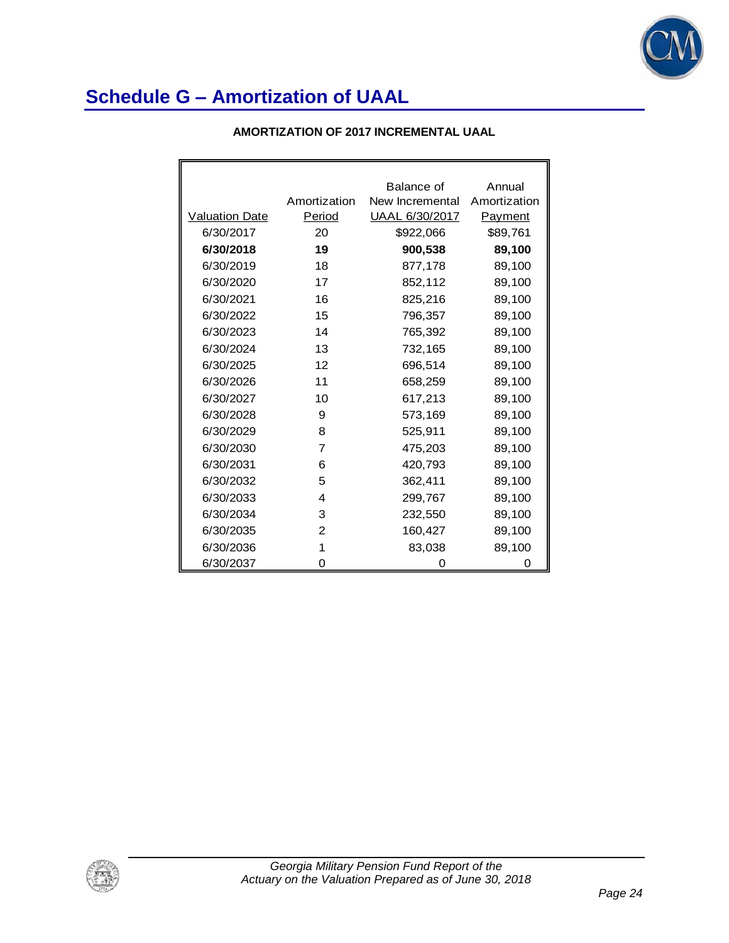

### **AMORTIZATION OF 2017 INCREMENTAL UAAL**

|                |              | Balance of      | Annual         |
|----------------|--------------|-----------------|----------------|
|                | Amortization | New Incremental | Amortization   |
| Valuation Date | Period       | UAAL 6/30/2017  | <b>Payment</b> |
| 6/30/2017      | 20           | \$922,066       | \$89,761       |
| 6/30/2018      | 19           | 900,538         | 89,100         |
| 6/30/2019      | 18           | 877,178         | 89,100         |
| 6/30/2020      | 17           | 852,112         | 89,100         |
| 6/30/2021      | 16           | 825,216         | 89,100         |
| 6/30/2022      | 15           | 796,357         | 89,100         |
| 6/30/2023      | 14           | 765,392         | 89,100         |
| 6/30/2024      | 13           | 732,165         | 89,100         |
| 6/30/2025      | 12           | 696,514         | 89,100         |
| 6/30/2026      | 11           | 658,259         | 89,100         |
| 6/30/2027      | 10           | 617,213         | 89,100         |
| 6/30/2028      | 9            | 573,169         | 89,100         |
| 6/30/2029      | 8            | 525,911         | 89,100         |
| 6/30/2030      | 7            | 475,203         | 89,100         |
| 6/30/2031      | 6            | 420,793         | 89,100         |
| 6/30/2032      | 5            | 362,411         | 89,100         |
| 6/30/2033      | 4            | 299,767         | 89,100         |
| 6/30/2034      | 3            | 232,550         | 89,100         |
| 6/30/2035      | 2            | 160,427         | 89,100         |
| 6/30/2036      | 1            | 83,038          | 89,100         |
| 6/30/2037      | 0            | 0               | 0              |

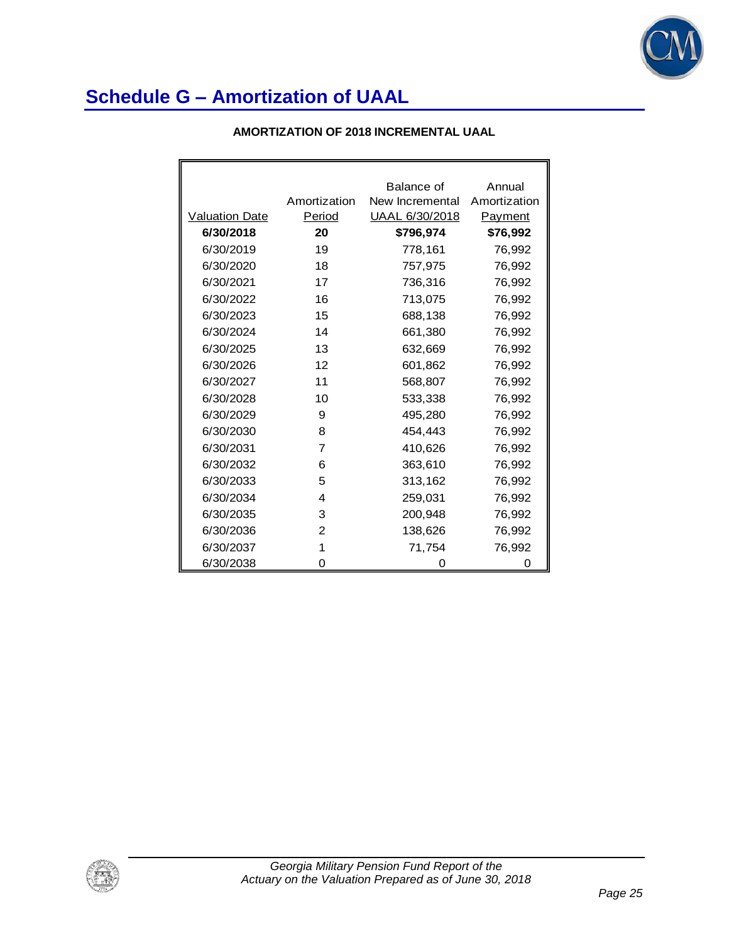

### **AMORTIZATION OF 2018 INCREMENTAL UAAL**

|                       |              | Balance of      | Annual       |
|-----------------------|--------------|-----------------|--------------|
|                       | Amortization | New Incremental | Amortization |
| <b>Valuation Date</b> | Period       | UAAL 6/30/2018  | Payment      |
| 6/30/2018             | 20           | \$796,974       | \$76,992     |
| 6/30/2019             | 19           | 778,161         | 76,992       |
| 6/30/2020             | 18           | 757,975         | 76,992       |
| 6/30/2021             | 17           | 736,316         | 76,992       |
| 6/30/2022             | 16           | 713,075         | 76,992       |
| 6/30/2023             | 15           | 688,138         | 76,992       |
| 6/30/2024             | 14           | 661,380         | 76,992       |
| 6/30/2025             | 13           | 632,669         | 76,992       |
| 6/30/2026             | 12           | 601,862         | 76,992       |
| 6/30/2027             | 11           | 568,807         | 76,992       |
| 6/30/2028             | 10           | 533,338         | 76,992       |
| 6/30/2029             | 9            | 495,280         | 76,992       |
| 6/30/2030             | 8            | 454.443         | 76,992       |
| 6/30/2031             | 7            | 410,626         | 76,992       |
| 6/30/2032             | 6            | 363,610         | 76,992       |
| 6/30/2033             | 5            | 313,162         | 76,992       |
| 6/30/2034             | 4            | 259,031         | 76,992       |
| 6/30/2035             | 3            | 200,948         | 76,992       |
| 6/30/2036             | 2            | 138,626         | 76,992       |
| 6/30/2037             | 1            | 71,754          | 76,992       |
| 6/30/2038             | 0            | Ω               | 0            |

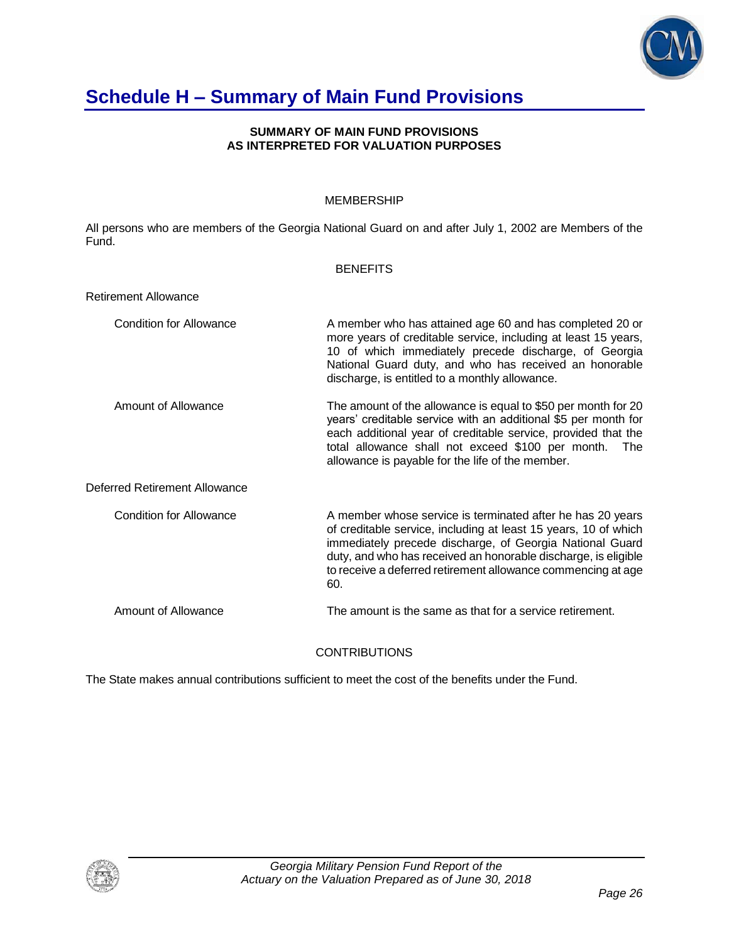

# **Schedule H – Summary of Main Fund Provisions**

#### **SUMMARY OF MAIN FUND PROVISIONS AS INTERPRETED FOR VALUATION PURPOSES**

### MEMBERSHIP

All persons who are members of the Georgia National Guard on and after July 1, 2002 are Members of the Fund.

#### **BENEFITS**

| <b>Retirement Allowance</b>    |                                                                                                                                                                                                                                                                                                                                    |
|--------------------------------|------------------------------------------------------------------------------------------------------------------------------------------------------------------------------------------------------------------------------------------------------------------------------------------------------------------------------------|
| <b>Condition for Allowance</b> | A member who has attained age 60 and has completed 20 or<br>more years of creditable service, including at least 15 years,<br>10 of which immediately precede discharge, of Georgia<br>National Guard duty, and who has received an honorable<br>discharge, is entitled to a monthly allowance.                                    |
| Amount of Allowance            | The amount of the allowance is equal to \$50 per month for 20<br>years' creditable service with an additional \$5 per month for<br>each additional year of creditable service, provided that the<br>total allowance shall not exceed \$100 per month.<br>The<br>allowance is payable for the life of the member.                   |
| Deferred Retirement Allowance  |                                                                                                                                                                                                                                                                                                                                    |
| Condition for Allowance        | A member whose service is terminated after he has 20 years<br>of creditable service, including at least 15 years, 10 of which<br>immediately precede discharge, of Georgia National Guard<br>duty, and who has received an honorable discharge, is eligible<br>to receive a deferred retirement allowance commencing at age<br>60. |
| Amount of Allowance            | The amount is the same as that for a service retirement.                                                                                                                                                                                                                                                                           |

**CONTRIBUTIONS** 

The State makes annual contributions sufficient to meet the cost of the benefits under the Fund.

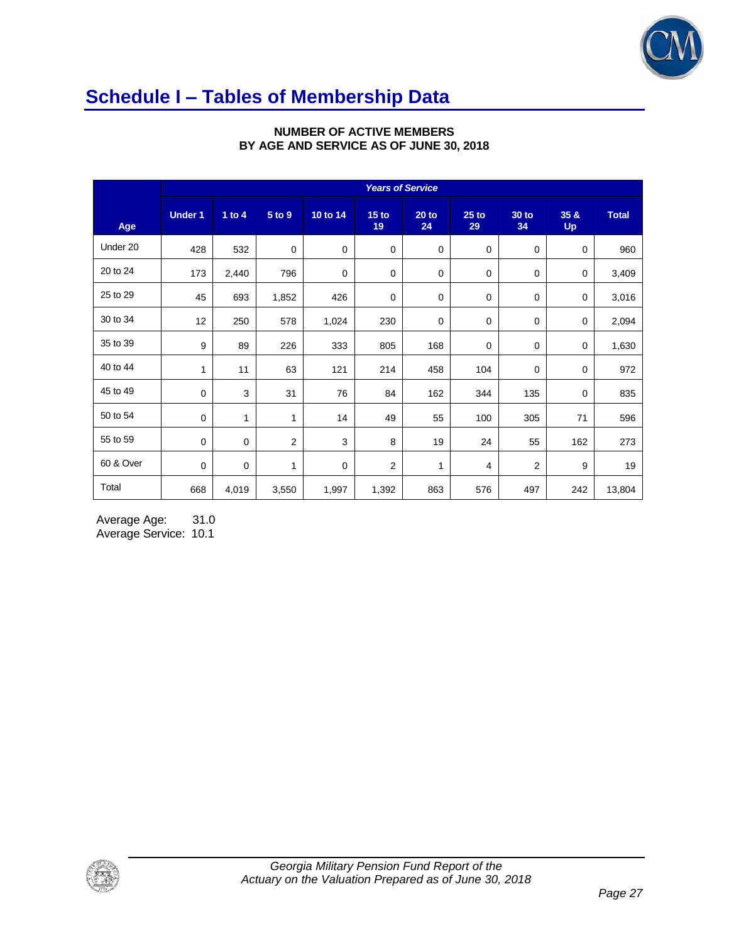

# **Schedule I – Tables of Membership Data**

|           | <b>Years of Service</b> |          |                         |          |                        |               |               |                    |                   |              |
|-----------|-------------------------|----------|-------------------------|----------|------------------------|---------------|---------------|--------------------|-------------------|--------------|
| Age       | <b>Under 1</b>          | 1 to $4$ | 5 to 9                  | 10 to 14 | 15 <sub>to</sub><br>19 | $20$ to<br>24 | $25$ to<br>29 | <b>30 to</b><br>34 | 35 &<br><b>Up</b> | <b>Total</b> |
| Under 20  | 428                     | 532      | $\mathbf 0$             | 0        | $\mathbf 0$            | $\mathbf 0$   | $\mathbf 0$   | $\mathbf 0$        | $\mathbf 0$       | 960          |
| 20 to 24  | 173                     | 2,440    | 796                     | 0        | 0                      | 0             | 0             | $\mathbf 0$        | 0                 | 3,409        |
| 25 to 29  | 45                      | 693      | 1,852                   | 426      | 0                      | 0             | 0             | 0                  | $\mathbf 0$       | 3,016        |
| 30 to 34  | 12                      | 250      | 578                     | 1,024    | 230                    | 0             | $\mathbf 0$   | 0                  | 0                 | 2,094        |
| 35 to 39  | 9                       | 89       | 226                     | 333      | 805                    | 168           | 0             | $\mathbf 0$        | 0                 | 1,630        |
| 40 to 44  | 1                       | 11       | 63                      | 121      | 214                    | 458           | 104           | 0                  | 0                 | 972          |
| 45 to 49  | 0                       | 3        | 31                      | 76       | 84                     | 162           | 344           | 135                | $\mathbf 0$       | 835          |
| 50 to 54  | 0                       | 1        | 1                       | 14       | 49                     | 55            | 100           | 305                | 71                | 596          |
| 55 to 59  | $\mathbf 0$             | 0        | $\overline{\mathbf{c}}$ | 3        | 8                      | 19            | 24            | 55                 | 162               | 273          |
| 60 & Over | $\mathbf 0$             | 0        | $\mathbf{1}$            | 0        | 2                      | 1             | 4             | 2                  | 9                 | 19           |
| Total     | 668                     | 4,019    | 3,550                   | 1,997    | 1,392                  | 863           | 576           | 497                | 242               | 13,804       |

### **NUMBER OF ACTIVE MEMBERS BY AGE AND SERVICE AS OF JUNE 30, 2018**

Average Age: 31.0 Average Service: 10.1

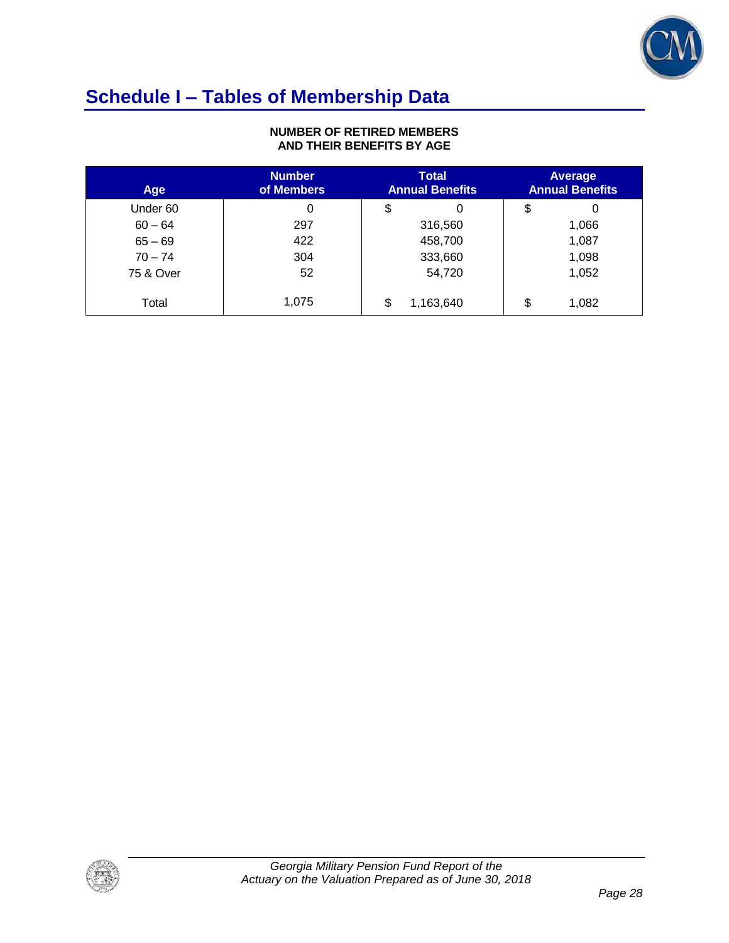

# **Schedule I – Tables of Membership Data**

### **NUMBER OF RETIRED MEMBERS AND THEIR BENEFITS BY AGE**

| Age       | <b>Number</b><br>of Members | <b>Total</b><br><b>Annual Benefits</b> | Average<br><b>Annual Benefits</b> |
|-----------|-----------------------------|----------------------------------------|-----------------------------------|
| Under 60  | 0                           | \$                                     | \$<br>0                           |
| $60 - 64$ | 297                         | 316,560                                | 1,066                             |
| $65 - 69$ | 422                         | 458,700                                | 1,087                             |
| $70 - 74$ | 304                         | 333,660                                | 1,098                             |
| 75 & Over | 52                          | 54,720                                 | 1,052                             |
| Total     | 1,075                       | \$<br>1,163,640                        | \$<br>1,082                       |